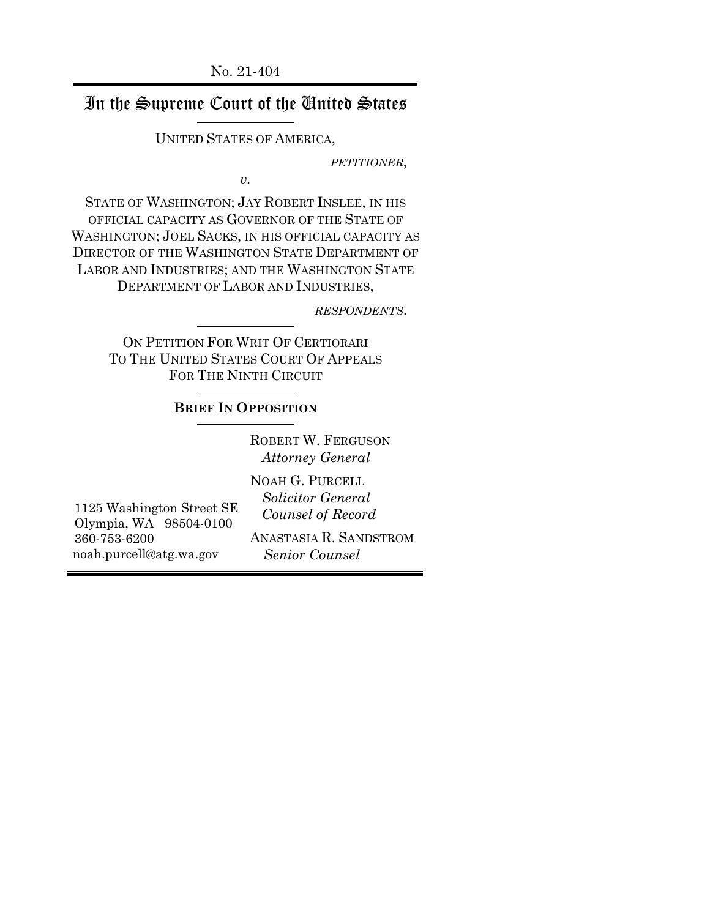## In the Supreme Court of the United States

UNITED STATES OF AMERICA,

*PETITIONER*,

*v.*

STATE OF WASHINGTON; JAY ROBERT INSLEE, IN HIS OFFICIAL CAPACITY AS GOVERNOR OF THE STATE OF WASHINGTON; JOEL SACKS, IN HIS OFFICIAL CAPACITY AS DIRECTOR OF THE WASHINGTON STATE DEPARTMENT OF LABOR AND INDUSTRIES; AND THE WASHINGTON STATE DEPARTMENT OF LABOR AND INDUSTRIES,

*RESPONDENTS*.

ON PETITION FOR WRIT OF CERTIORARI TO THE UNITED STATES COURT OF APPEALS FOR THE NINTH CIRCUIT

#### **BRIEF IN OPPOSITION**

ROBERT W. FERGUSON  *Attorney General*

1125 Washington Street SE Olympia, WA 98504-0100 360-753-6200 noah.purcell@atg.wa.gov

NOAH G. PURCELL  *Solicitor General Counsel of Record*

ANASTASIA R. SANDSTROM  *Senior Counsel*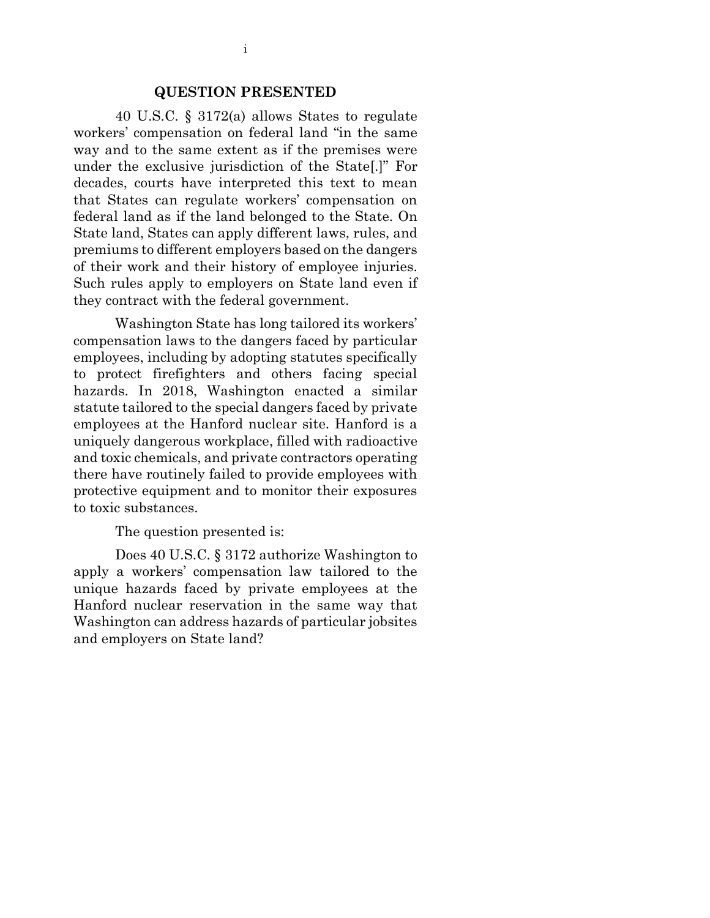#### **QUESTION PRESENTED**

40 U.S.C. § 3172(a) allows States to regulate workers' compensation on federal land "in the same way and to the same extent as if the premises were under the exclusive jurisdiction of the State[.]" For decades, courts have interpreted this text to mean that States can regulate workers' compensation on federal land as if the land belonged to the State. On State land, States can apply different laws, rules, and premiums to different employers based on the dangers of their work and their history of employee injuries. Such rules apply to employers on State land even if they contract with the federal government.

Washington State has long tailored its workers' compensation laws to the dangers faced by particular employees, including by adopting statutes specifically to protect firefighters and others facing special hazards. In 2018, Washington enacted a similar statute tailored to the special dangers faced by private employees at the Hanford nuclear site. Hanford is a uniquely dangerous workplace, filled with radioactive and toxic chemicals, and private contractors operating there have routinely failed to provide employees with protective equipment and to monitor their exposures to toxic substances.

The question presented is:

Does 40 U.S.C. § 3172 authorize Washington to apply a workers' compensation law tailored to the unique hazards faced by private employees at the Hanford nuclear reservation in the same way that Washington can address hazards of particular jobsites and employers on State land?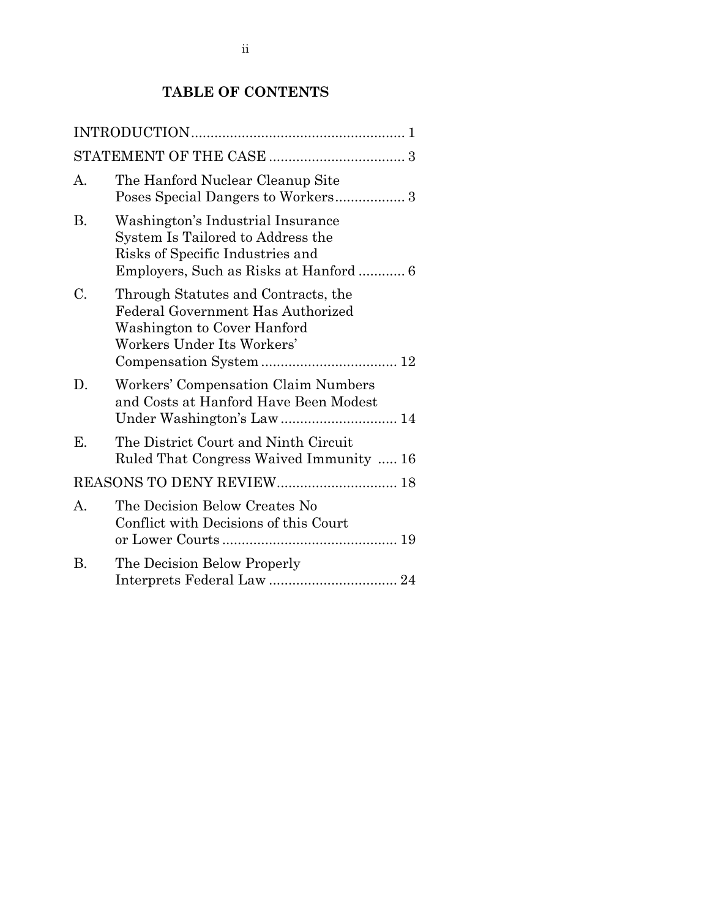## **TABLE OF CONTENTS**

| А. | The Hanford Nuclear Cleanup Site<br>Poses Special Dangers to Workers 3                                                                |
|----|---------------------------------------------------------------------------------------------------------------------------------------|
| В. | Washington's Industrial Insurance<br>System Is Tailored to Address the<br>Risks of Specific Industries and                            |
| C. | Through Statutes and Contracts, the<br>Federal Government Has Authorized<br>Washington to Cover Hanford<br>Workers Under Its Workers' |
| D. | Workers' Compensation Claim Numbers<br>and Costs at Hanford Have Been Modest                                                          |
| Е. | The District Court and Ninth Circuit<br>Ruled That Congress Waived Immunity  16                                                       |
|    | REASONS TO DENY REVIEW 18                                                                                                             |
| A. | The Decision Below Creates No<br>Conflict with Decisions of this Court                                                                |
| В. | The Decision Below Properly                                                                                                           |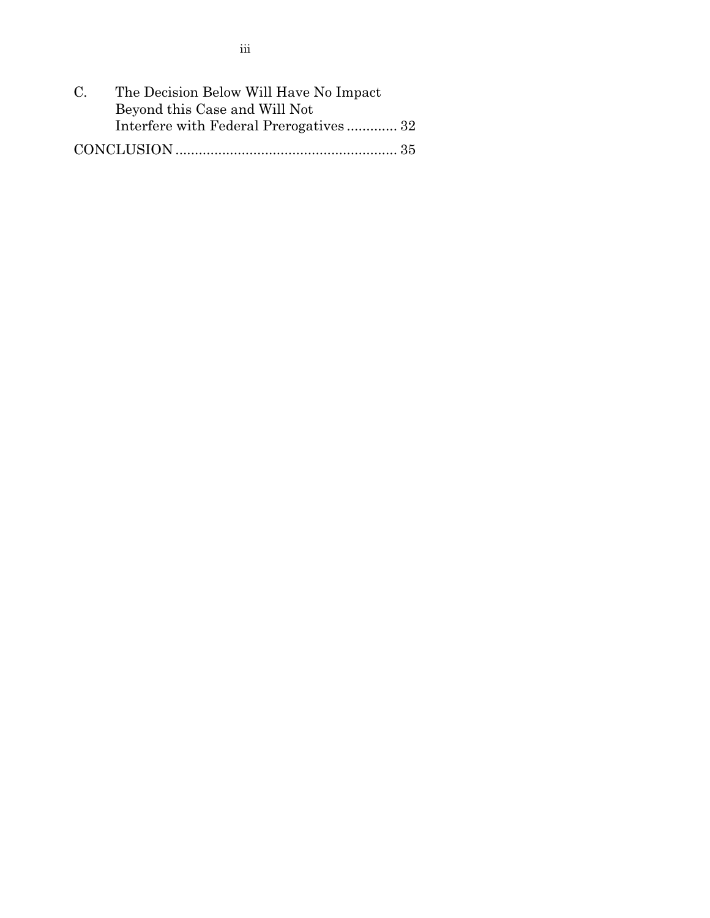| $C_{\cdot}$ | The Decision Below Will Have No Impact |  |
|-------------|----------------------------------------|--|
|             | Beyond this Case and Will Not          |  |
|             | Interfere with Federal Prerogatives 32 |  |
|             |                                        |  |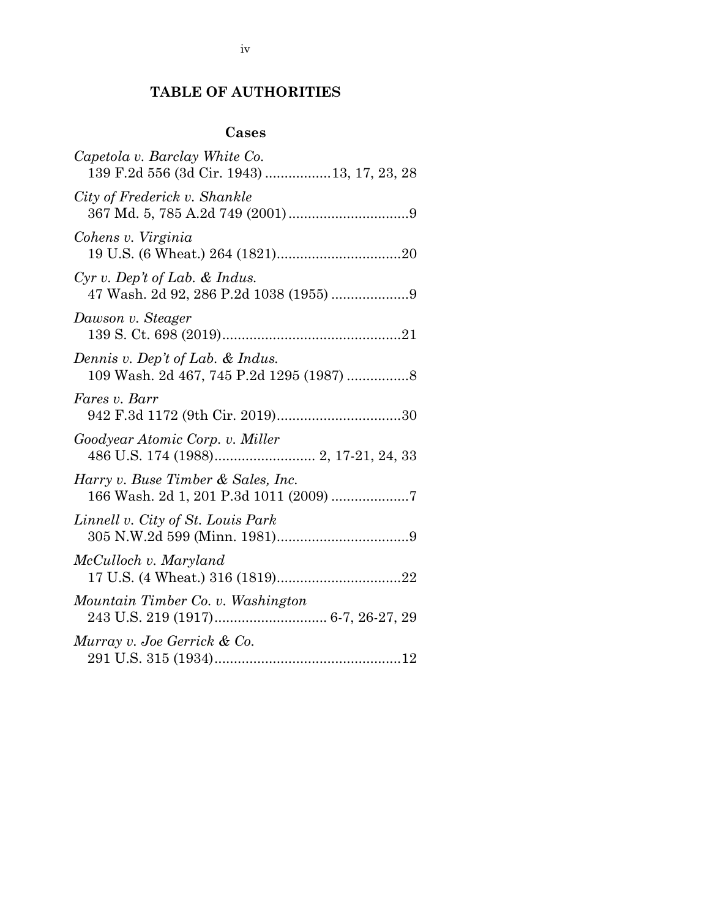## **TABLE OF AUTHORITIES**

### **Cases**

| Capetola v. Barclay White Co.<br>139 F.2d 556 (3d Cir. 1943) 13, 17, 23, 28  |
|------------------------------------------------------------------------------|
| City of Frederick v. Shankle                                                 |
| Cohens v. Virginia                                                           |
| $Cyr$ v. Dep't of Lab. & Indus.<br>47 Wash. 2d 92, 286 P.2d 1038 (1955) 9    |
| Dawson v. Steager                                                            |
| Dennis v. Dep't of Lab. & Indus.<br>109 Wash. 2d 467, 745 P.2d 1295 (1987) 8 |
| Fares v. Barr                                                                |
| Goodyear Atomic Corp. v. Miller                                              |
| Harry v. Buse Timber & Sales, Inc.<br>166 Wash. 2d 1, 201 P.3d 1011 (2009) 7 |
| Linnell v. City of St. Louis Park                                            |
| McCulloch v. Maryland                                                        |
| Mountain Timber Co. v. Washington                                            |
| Murray v. Joe Gerrick & Co.                                                  |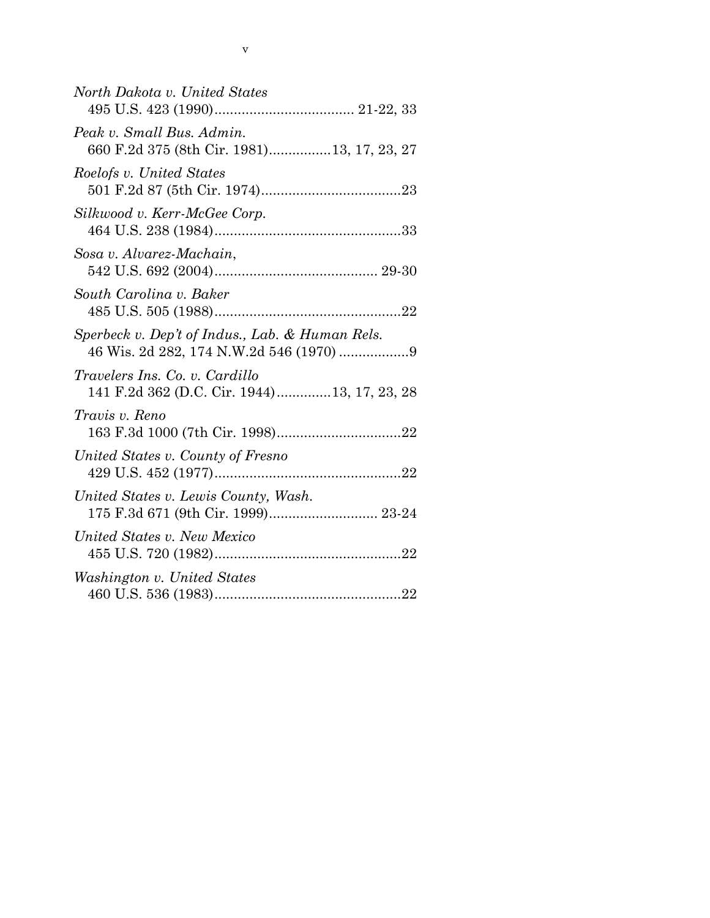| North Dakota v. United States                                                 |
|-------------------------------------------------------------------------------|
| Peak v. Small Bus. Admin.<br>660 F.2d 375 (8th Cir. 1981)13, 17, 23, 27       |
| Roelofs v. United States                                                      |
| Silkwood v. Kerr-McGee Corp.                                                  |
| Sosa v. Alvarez-Machain,                                                      |
| South Carolina v. Baker                                                       |
| Sperbeck v. Dep't of Indus., Lab. & Human Rels.                               |
| Travelers Ins. Co. v. Cardillo<br>141 F.2d 362 (D.C. Cir. 1944)13, 17, 23, 28 |
| Travis v. Reno                                                                |
| United States v. County of Fresno                                             |
| United States v. Lewis County, Wash.                                          |
| United States v. New Mexico                                                   |
| Washington v. United States                                                   |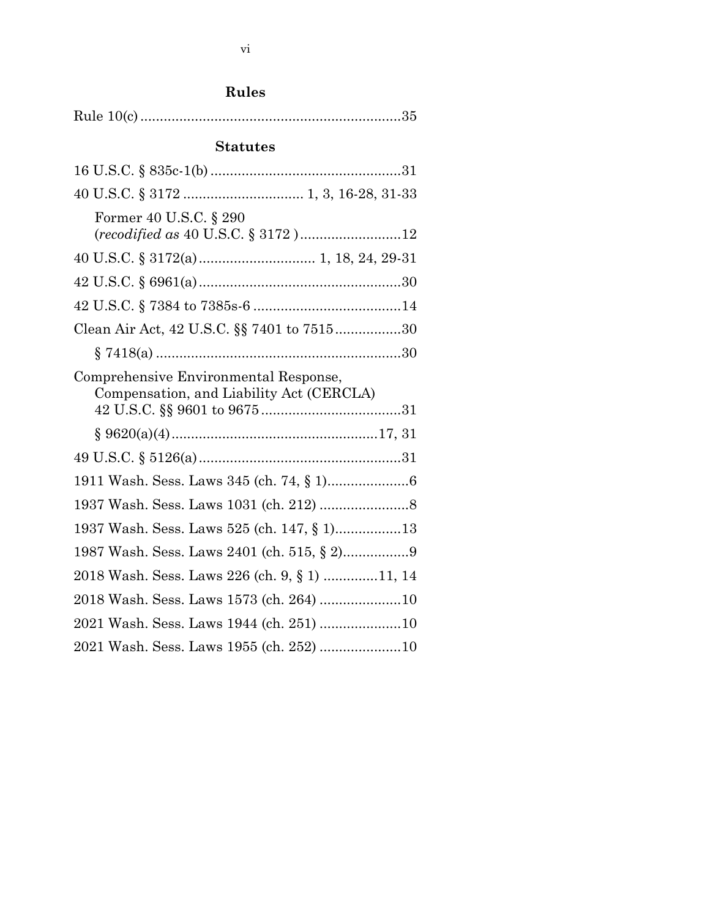# **Rules**

|--|--|--|

## **Statutes**

| Former 40 U.S.C. § 290<br>(recodified as 40 U.S.C. § 3172)12                      |  |
|-----------------------------------------------------------------------------------|--|
|                                                                                   |  |
|                                                                                   |  |
|                                                                                   |  |
| Clean Air Act, 42 U.S.C. §§ 7401 to 751530                                        |  |
|                                                                                   |  |
| Comprehensive Environmental Response,<br>Compensation, and Liability Act (CERCLA) |  |
|                                                                                   |  |
|                                                                                   |  |
|                                                                                   |  |
|                                                                                   |  |
| 1937 Wash. Sess. Laws 525 (ch. 147, § 1)13                                        |  |
|                                                                                   |  |
| 2018 Wash. Sess. Laws 226 (ch. 9, § 1) 11, 14                                     |  |
| 2018 Wash. Sess. Laws 1573 (ch. 264) 10                                           |  |
| 2021 Wash. Sess. Laws 1944 (ch. 251) 10                                           |  |
| 2021 Wash. Sess. Laws 1955 (ch. 252) 10                                           |  |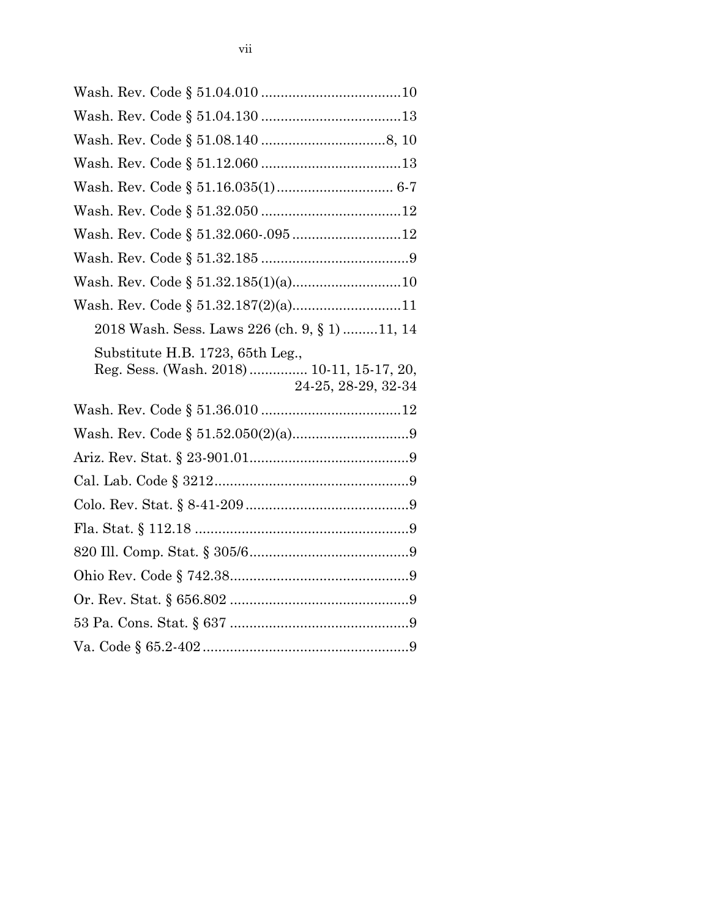| Wash. Rev. Code § 51.32.187(2)(a)11                                                                   |  |
|-------------------------------------------------------------------------------------------------------|--|
| 2018 Wash. Sess. Laws 226 (ch. 9, § 1)11, 14                                                          |  |
| Substitute H.B. 1723, 65th Leg.,<br>Reg. Sess. (Wash. 2018)  10-11, 15-17, 20,<br>24-25, 28-29, 32-34 |  |
|                                                                                                       |  |
|                                                                                                       |  |
|                                                                                                       |  |
|                                                                                                       |  |
|                                                                                                       |  |
|                                                                                                       |  |
|                                                                                                       |  |
|                                                                                                       |  |
|                                                                                                       |  |
|                                                                                                       |  |
|                                                                                                       |  |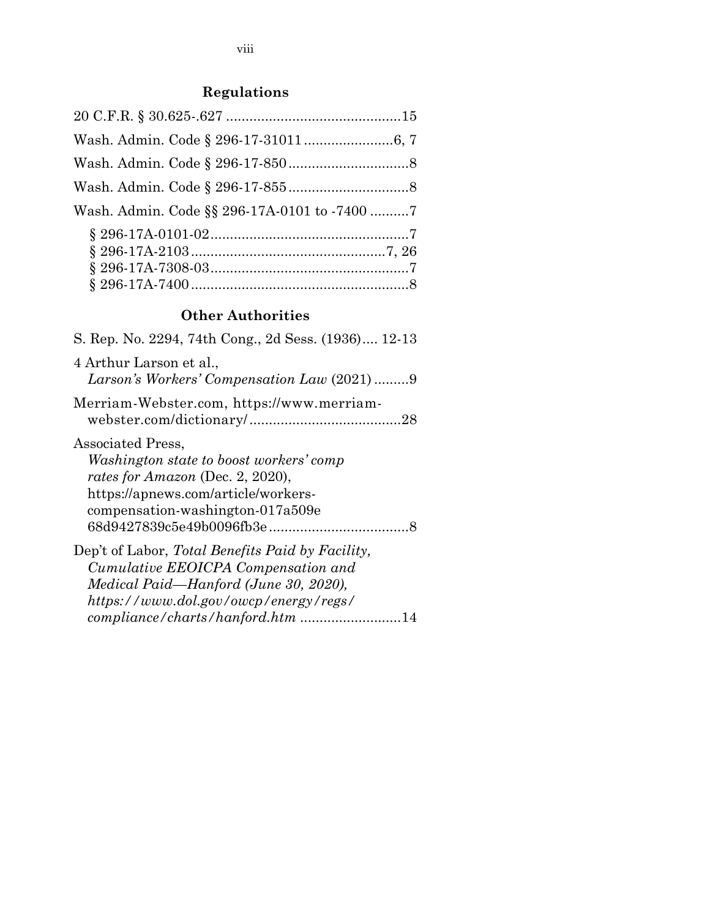## **Regulations**

| Wash. Admin. Code § 296-17-310116, 7         |  |
|----------------------------------------------|--|
|                                              |  |
|                                              |  |
| Wash. Admin. Code §§ 296-17A-0101 to -7400 7 |  |
|                                              |  |
|                                              |  |
|                                              |  |
|                                              |  |

## **Other Authorities**

| S. Rep. No. 2294, 74th Cong., 2d Sess. (1936) 12-13                                                                                                                                                           |  |
|---------------------------------------------------------------------------------------------------------------------------------------------------------------------------------------------------------------|--|
| 4 Arthur Larson et al.,<br>Larson's Workers' Compensation Law (2021) 9                                                                                                                                        |  |
| Merriam-Webster.com, https://www.merriam-                                                                                                                                                                     |  |
| Associated Press,<br>Washington state to boost workers' comp<br>rates for Amazon (Dec. 2, 2020),<br>https://apnews.com/article/workers-<br>compensation-washington-017a509e                                   |  |
| Dep't of Labor, Total Benefits Paid by Facility,<br>Cumulative EEOICPA Compensation and<br>Medical Paid—Hanford (June 30, 2020),<br>https://www.dol.gov/owcp/energy/regs/<br>compliance/charts/hanford.htm 14 |  |
|                                                                                                                                                                                                               |  |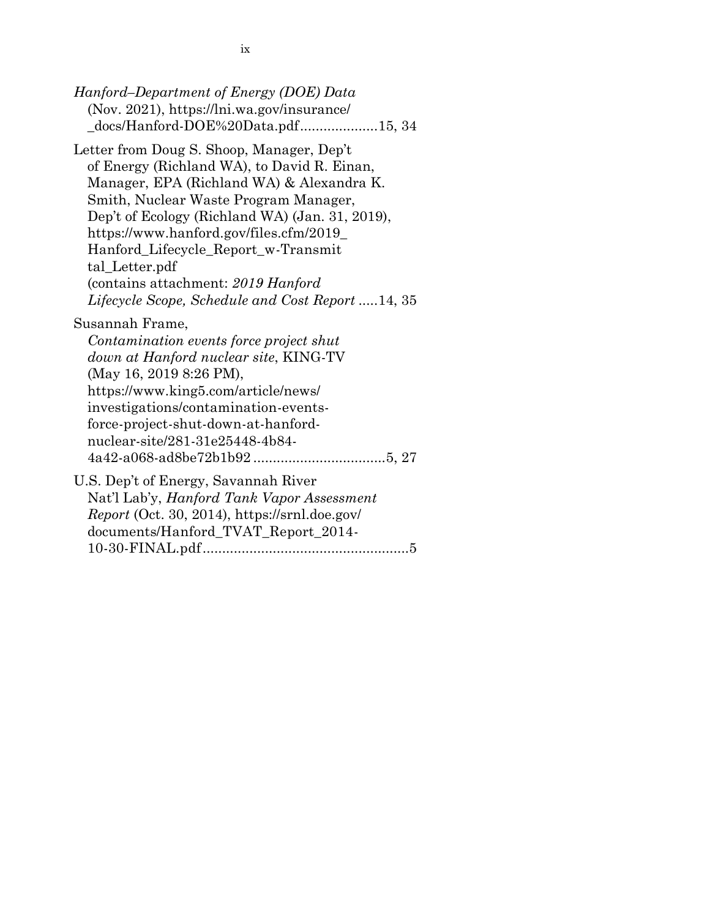*Hanford–Department of Energy (DOE) Data* (Nov. 2021), https://lni.wa.gov/insurance/ \_docs/Hanford-DOE%20Data.pdf....................15, 34

Letter from Doug S. Shoop, Manager, Dep't of Energy (Richland WA), to David R. Einan, Manager, EPA (Richland WA) & Alexandra K. Smith, Nuclear Waste Program Manager, Dep't of Ecology (Richland WA) (Jan. 31, 2019), https://www.hanford.gov/files.cfm/2019\_ Hanford\_Lifecycle\_Report\_w-Transmit tal\_Letter.pdf (contains attachment: *2019 Hanford Lifecycle Scope, Schedule and Cost Report* .....14, 35

Susannah Frame,

*Contamination events force project shut down at Hanford nuclear site*, KING-TV (May 16, 2019 8:26 PM), https://www.king5.com/article/news/ investigations/contamination-eventsforce-project-shut-down-at-hanfordnuclear-site/281-31e25448-4b84- 4a42-a068-ad8be72b1b92 ..................................5, 27

U.S. Dep't of Energy, Savannah River Nat'l Lab'y, *Hanford Tank Vapor Assessment Report* (Oct. 30, 2014), https://srnl.doe.gov/ documents/Hanford\_TVAT\_Report\_2014- 10-30-FINAL.pdf.....................................................5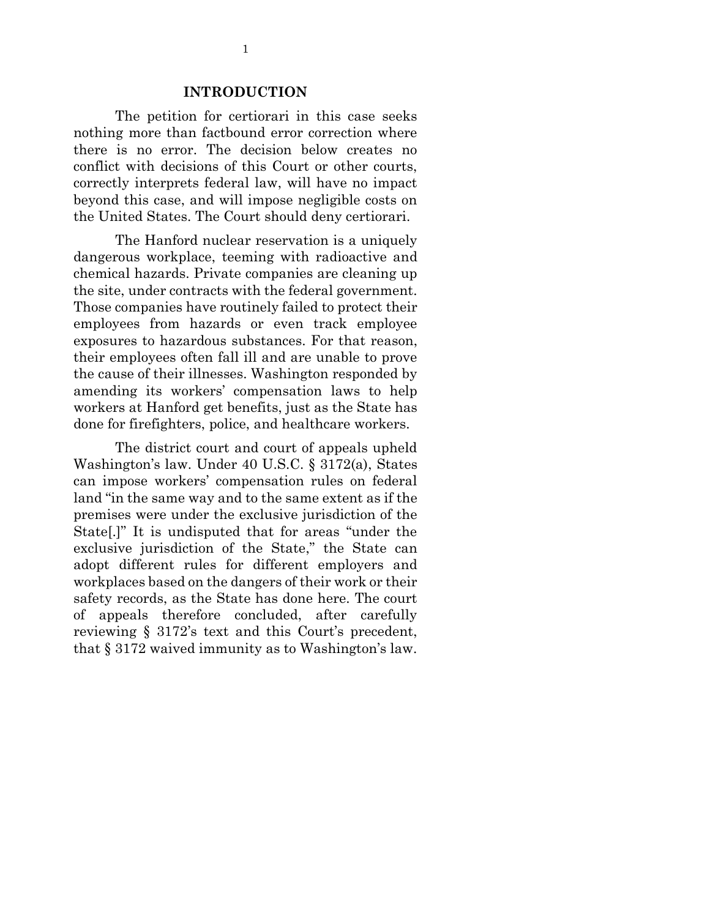#### **INTRODUCTION**

The petition for certiorari in this case seeks nothing more than factbound error correction where there is no error. The decision below creates no conflict with decisions of this Court or other courts, correctly interprets federal law, will have no impact beyond this case, and will impose negligible costs on the United States. The Court should deny certiorari.

The Hanford nuclear reservation is a uniquely dangerous workplace, teeming with radioactive and chemical hazards. Private companies are cleaning up the site, under contracts with the federal government. Those companies have routinely failed to protect their employees from hazards or even track employee exposures to hazardous substances. For that reason, their employees often fall ill and are unable to prove the cause of their illnesses. Washington responded by amending its workers' compensation laws to help workers at Hanford get benefits, just as the State has done for firefighters, police, and healthcare workers.

The district court and court of appeals upheld Washington's law. Under 40 U.S.C. § 3172(a), States can impose workers' compensation rules on federal land "in the same way and to the same extent as if the premises were under the exclusive jurisdiction of the State[.]" It is undisputed that for areas "under the exclusive jurisdiction of the State," the State can adopt different rules for different employers and workplaces based on the dangers of their work or their safety records, as the State has done here. The court of appeals therefore concluded, after carefully reviewing § 3172's text and this Court's precedent, that § 3172 waived immunity as to Washington's law.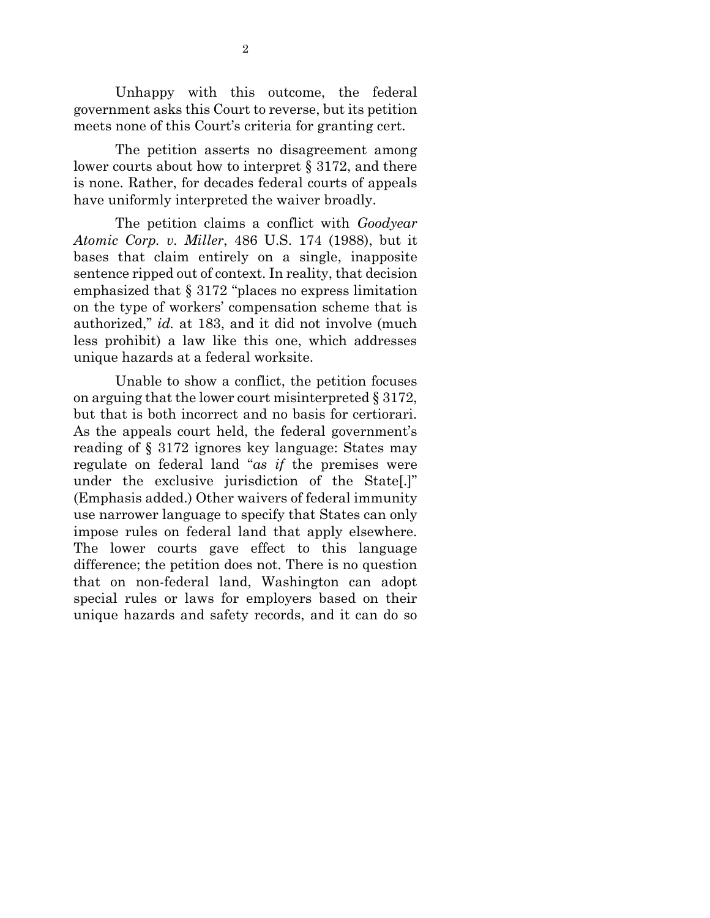Unhappy with this outcome, the federal government asks this Court to reverse, but its petition meets none of this Court's criteria for granting cert.

The petition asserts no disagreement among lower courts about how to interpret § 3172, and there is none. Rather, for decades federal courts of appeals have uniformly interpreted the waiver broadly.

The petition claims a conflict with *Goodyear Atomic Corp. v. Miller*, 486 U.S. 174 (1988), but it bases that claim entirely on a single, inapposite sentence ripped out of context. In reality, that decision emphasized that § 3172 "places no express limitation on the type of workers' compensation scheme that is authorized," *id.* at 183, and it did not involve (much less prohibit) a law like this one, which addresses unique hazards at a federal worksite.

Unable to show a conflict, the petition focuses on arguing that the lower court misinterpreted § 3172, but that is both incorrect and no basis for certiorari. As the appeals court held, the federal government's reading of § 3172 ignores key language: States may regulate on federal land "*as if* the premises were under the exclusive jurisdiction of the State[.]" (Emphasis added.) Other waivers of federal immunity use narrower language to specify that States can only impose rules on federal land that apply elsewhere. The lower courts gave effect to this language difference; the petition does not. There is no question that on non-federal land, Washington can adopt special rules or laws for employers based on their unique hazards and safety records, and it can do so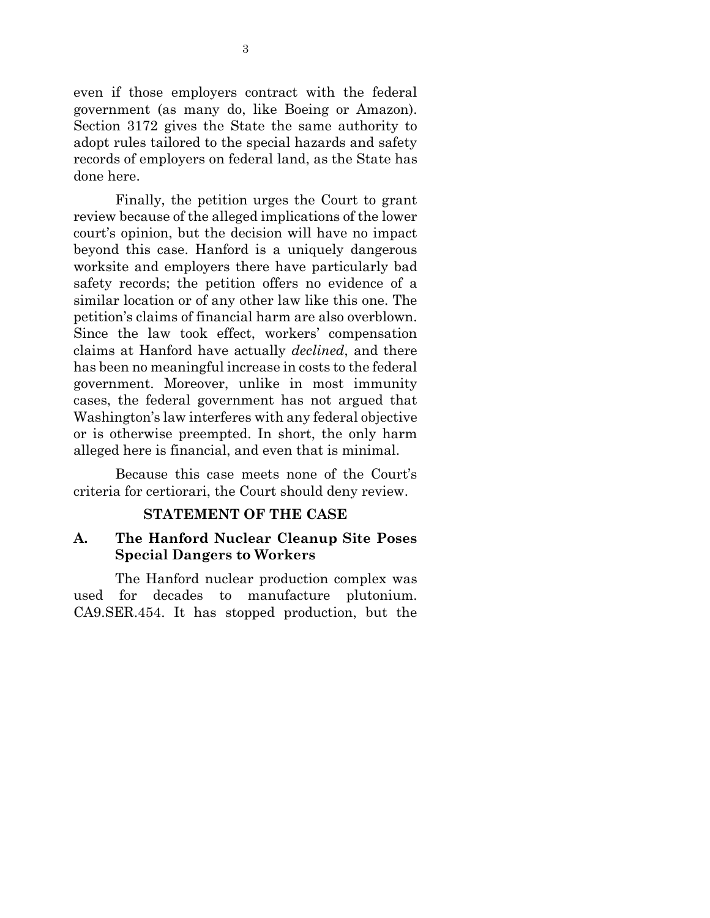even if those employers contract with the federal government (as many do, like Boeing or Amazon). Section 3172 gives the State the same authority to adopt rules tailored to the special hazards and safety records of employers on federal land, as the State has done here.

Finally, the petition urges the Court to grant review because of the alleged implications of the lower court's opinion, but the decision will have no impact beyond this case. Hanford is a uniquely dangerous worksite and employers there have particularly bad safety records; the petition offers no evidence of a similar location or of any other law like this one. The petition's claims of financial harm are also overblown. Since the law took effect, workers' compensation claims at Hanford have actually *declined*, and there has been no meaningful increase in costs to the federal government. Moreover, unlike in most immunity cases, the federal government has not argued that Washington's law interferes with any federal objective or is otherwise preempted. In short, the only harm alleged here is financial, and even that is minimal.

Because this case meets none of the Court's criteria for certiorari, the Court should deny review.

## **STATEMENT OF THE CASE**

### **A. The Hanford Nuclear Cleanup Site Poses Special Dangers to Workers**

The Hanford nuclear production complex was used for decades to manufacture plutonium. CA9.SER.454. It has stopped production, but the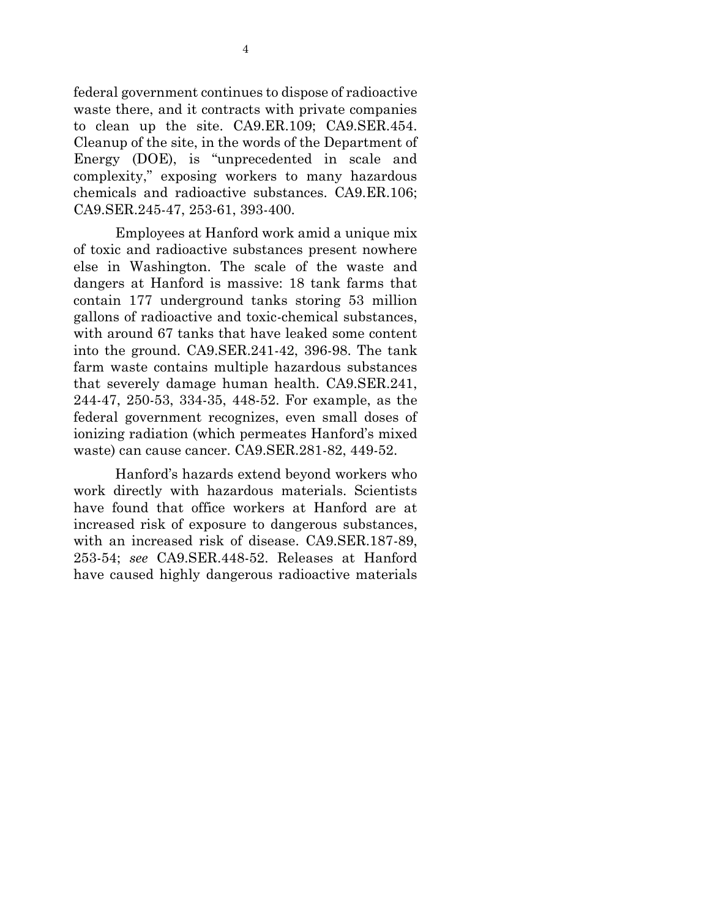federal government continues to dispose of radioactive waste there, and it contracts with private companies to clean up the site. CA9.ER.109; CA9.SER.454. Cleanup of the site, in the words of the Department of Energy (DOE), is "unprecedented in scale and complexity," exposing workers to many hazardous chemicals and radioactive substances. CA9.ER.106; CA9.SER.245-47, 253-61, 393-400.

Employees at Hanford work amid a unique mix of toxic and radioactive substances present nowhere else in Washington. The scale of the waste and dangers at Hanford is massive: 18 tank farms that contain 177 underground tanks storing 53 million gallons of radioactive and toxic-chemical substances, with around 67 tanks that have leaked some content into the ground. CA9.SER.241-42, 396-98. The tank farm waste contains multiple hazardous substances that severely damage human health. CA9.SER.241, 244-47, 250-53, 334-35, 448-52. For example, as the federal government recognizes, even small doses of ionizing radiation (which permeates Hanford's mixed waste) can cause cancer. CA9.SER.281-82, 449-52.

Hanford's hazards extend beyond workers who work directly with hazardous materials. Scientists have found that office workers at Hanford are at increased risk of exposure to dangerous substances, with an increased risk of disease. CA9.SER.187-89, 253-54; *see* CA9.SER.448-52. Releases at Hanford have caused highly dangerous radioactive materials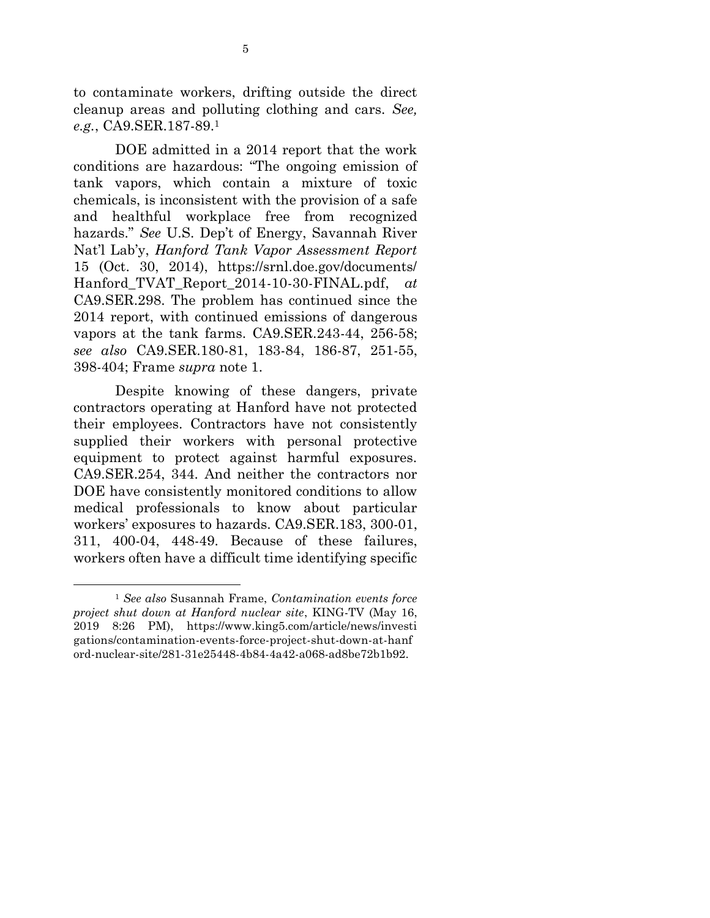to contaminate workers, drifting outside the direct cleanup areas and polluting clothing and cars. *See, e.g.*, CA9.SER.187-89.<sup>1</sup>

DOE admitted in a 2014 report that the work conditions are hazardous: "The ongoing emission of tank vapors, which contain a mixture of toxic chemicals, is inconsistent with the provision of a safe and healthful workplace free from recognized hazards." *See* U.S. Dep't of Energy, Savannah River Nat'l Lab'y, *Hanford Tank Vapor Assessment Report* 15 (Oct. 30, 2014), https://srnl.doe.gov/documents/ Hanford\_TVAT\_Report\_2014-10-30-FINAL.pdf, *at*  CA9.SER.298. The problem has continued since the 2014 report, with continued emissions of dangerous vapors at the tank farms. CA9.SER.243-44, 256-58; *see also* CA9.SER.180-81, 183-84, 186-87, 251-55, 398-404; Frame *supra* note 1.

Despite knowing of these dangers, private contractors operating at Hanford have not protected their employees. Contractors have not consistently supplied their workers with personal protective equipment to protect against harmful exposures. CA9.SER.254, 344. And neither the contractors nor DOE have consistently monitored conditions to allow medical professionals to know about particular workers' exposures to hazards. CA9.SER.183, 300-01, 311, 400-04, 448-49. Because of these failures, workers often have a difficult time identifying specific

1

<sup>1</sup> *See also* Susannah Frame, *Contamination events force project shut down at Hanford nuclear site*, KING-TV (May 16, 2019 8:26 PM), https://www.king5.com/article/news/investi gations/contamination-events-force-project-shut-down-at-hanf ord-nuclear-site/281-31e25448-4b84-4a42-a068-ad8be72b1b92.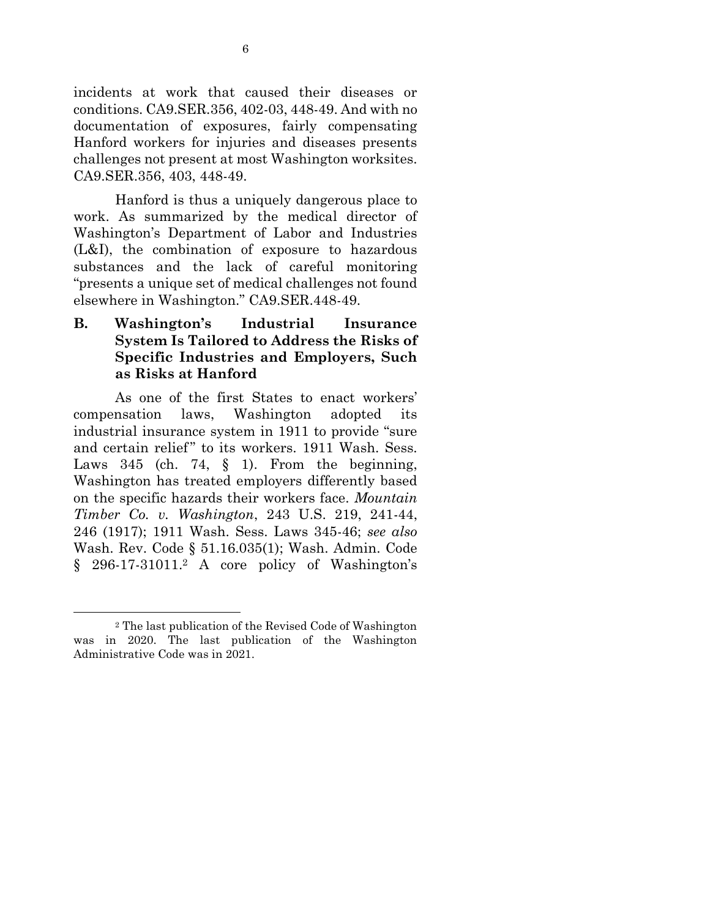incidents at work that caused their diseases or conditions. CA9.SER.356, 402-03, 448-49. And with no documentation of exposures, fairly compensating Hanford workers for injuries and diseases presents challenges not present at most Washington worksites. CA9.SER.356, 403, 448-49.

Hanford is thus a uniquely dangerous place to work. As summarized by the medical director of Washington's Department of Labor and Industries (L&I), the combination of exposure to hazardous substances and the lack of careful monitoring "presents a unique set of medical challenges not found elsewhere in Washington." CA9.SER.448-49.

**B. Washington's Industrial Insurance System Is Tailored to Address the Risks of Specific Industries and Employers, Such as Risks at Hanford**

As one of the first States to enact workers' compensation laws, Washington adopted its industrial insurance system in 1911 to provide "sure and certain relief" to its workers. 1911 Wash. Sess. Laws  $345$  (ch. 74, § 1). From the beginning, Washington has treated employers differently based on the specific hazards their workers face. *Mountain Timber Co. v. Washington*, 243 U.S. 219, 241-44, 246 (1917); 1911 Wash. Sess. Laws 345-46; *see also* Wash. Rev. Code § 51.16.035(1); Wash. Admin. Code § 296-17-31011. <sup>2</sup> A core policy of Washington's

1

<sup>2</sup> The last publication of the Revised Code of Washington was in 2020. The last publication of the Washington Administrative Code was in 2021.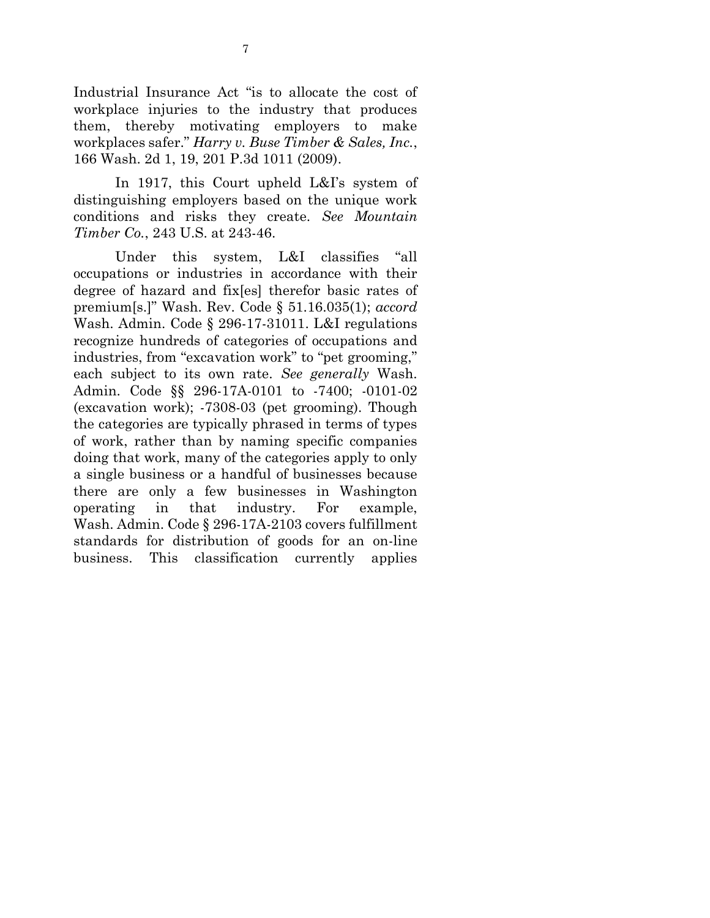Industrial Insurance Act "is to allocate the cost of workplace injuries to the industry that produces them, thereby motivating employers to make workplaces safer." *Harry v. Buse Timber & Sales, Inc.*, 166 Wash. 2d 1, 19, 201 P.3d 1011 (2009).

In 1917, this Court upheld L&I's system of distinguishing employers based on the unique work conditions and risks they create. *See Mountain Timber Co.*, 243 U.S. at 243-46.

Under this system, L&I classifies "all occupations or industries in accordance with their degree of hazard and fix[es] therefor basic rates of premium[s.]" Wash. Rev. Code § 51.16.035(1); *accord* Wash. Admin. Code § 296-17-31011. L&I regulations recognize hundreds of categories of occupations and industries, from "excavation work" to "pet grooming," each subject to its own rate. *See generally* Wash. Admin. Code §§ 296-17A-0101 to -7400; -0101-02 (excavation work); -7308-03 (pet grooming). Though the categories are typically phrased in terms of types of work, rather than by naming specific companies doing that work, many of the categories apply to only a single business or a handful of businesses because there are only a few businesses in Washington operating in that industry. For example, Wash. Admin. Code § 296-17A-2103 covers fulfillment standards for distribution of goods for an on-line business. This classification currently applies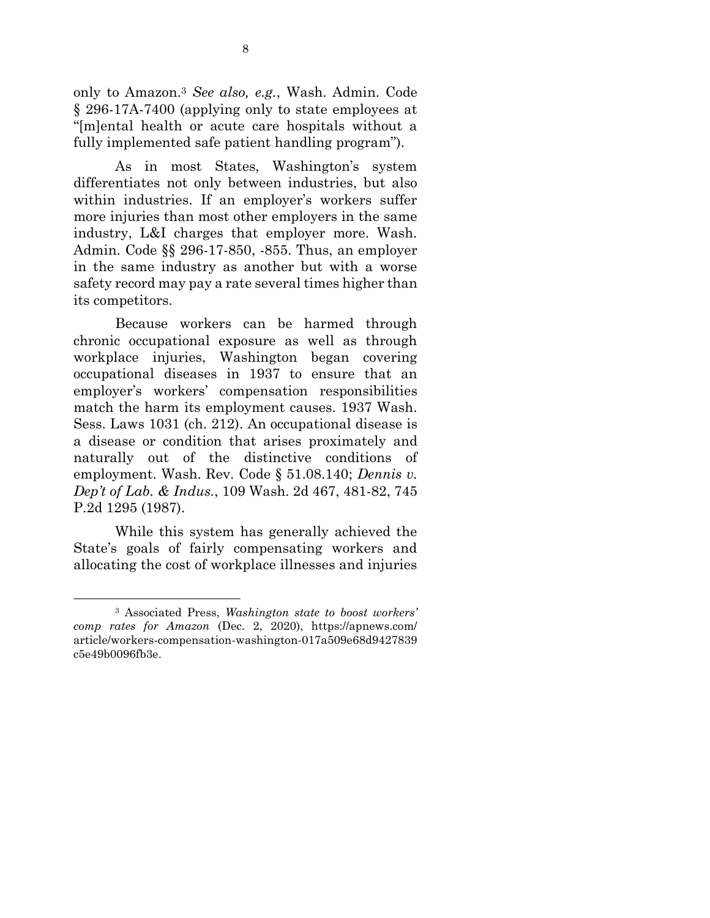only to Amazon.<sup>3</sup> *See also, e.g.*, Wash. Admin. Code § 296-17A-7400 (applying only to state employees at "[m]ental health or acute care hospitals without a fully implemented safe patient handling program").

As in most States, Washington's system differentiates not only between industries, but also within industries. If an employer's workers suffer more injuries than most other employers in the same industry, L&I charges that employer more. Wash. Admin. Code §§ 296-17-850, -855. Thus, an employer in the same industry as another but with a worse safety record may pay a rate several times higher than its competitors.

Because workers can be harmed through chronic occupational exposure as well as through workplace injuries, Washington began covering occupational diseases in 1937 to ensure that an employer's workers' compensation responsibilities match the harm its employment causes. 1937 Wash. Sess. Laws 1031 (ch. 212). An occupational disease is a disease or condition that arises proximately and naturally out of the distinctive conditions of employment. Wash. Rev. Code § 51.08.140; *Dennis v. Dep't of Lab. & Indus.*, 109 Wash. 2d 467, 481-82, 745 P.2d 1295 (1987).

While this system has generally achieved the State's goals of fairly compensating workers and allocating the cost of workplace illnesses and injuries

1

<sup>3</sup> Associated Press, *Washington state to boost workers' comp rates for Amazon* (Dec. 2, 2020), https://apnews.com/ article/workers-compensation-washington-017a509e68d9427839 c5e49b0096fb3e.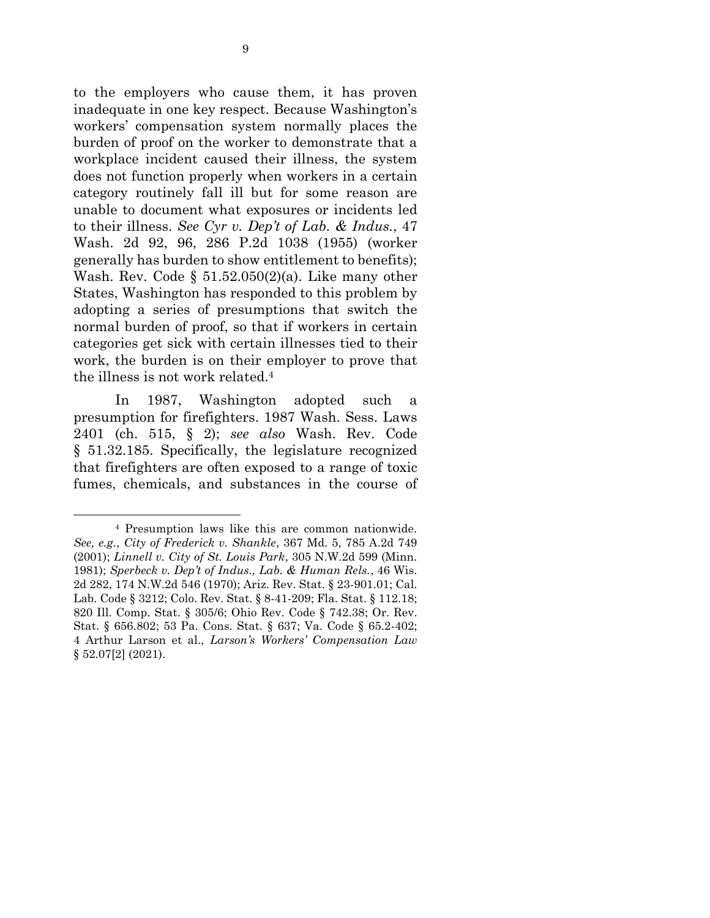to the employers who cause them, it has proven inadequate in one key respect. Because Washington's workers' compensation system normally places the burden of proof on the worker to demonstrate that a workplace incident caused their illness, the system does not function properly when workers in a certain category routinely fall ill but for some reason are unable to document what exposures or incidents led to their illness. *See Cyr v. Dep't of Lab. & Indus.*, 47 Wash. 2d 92, 96, 286 P.2d 1038 (1955) (worker generally has burden to show entitlement to benefits); Wash. Rev. Code §  $51.52.050(2)(a)$ . Like many other States, Washington has responded to this problem by adopting a series of presumptions that switch the normal burden of proof, so that if workers in certain categories get sick with certain illnesses tied to their work, the burden is on their employer to prove that the illness is not work related.<sup>4</sup>

In 1987, Washington adopted such a presumption for firefighters. 1987 Wash. Sess. Laws 2401 (ch. 515, § 2); *see also* Wash. Rev. Code § 51.32.185. Specifically, the legislature recognized that firefighters are often exposed to a range of toxic fumes, chemicals, and substances in the course of

 $\overline{a}$ 

<sup>4</sup> Presumption laws like this are common nationwide. *See, e.g.*, *City of Frederick v. Shankle*, 367 Md. 5, 785 A.2d 749 (2001); *Linnell v. City of St. Louis Park*, 305 N.W.2d 599 (Minn. 1981); *Sperbeck v. Dep't of Indus., Lab. & Human Rels.*, 46 Wis. 2d 282, 174 N.W.2d 546 (1970); Ariz. Rev. Stat. § 23-901.01; Cal. Lab. Code § 3212; Colo. Rev. Stat. § 8-41-209; Fla. Stat. § 112.18; 820 Ill. Comp. Stat. § 305/6; Ohio Rev. Code § 742.38; Or. Rev. Stat. § 656.802; 53 Pa. Cons. Stat. § 637; Va. Code § 65.2-402; 4 Arthur Larson et al., *Larson's Workers' Compensation Law* § 52.07[2] (2021).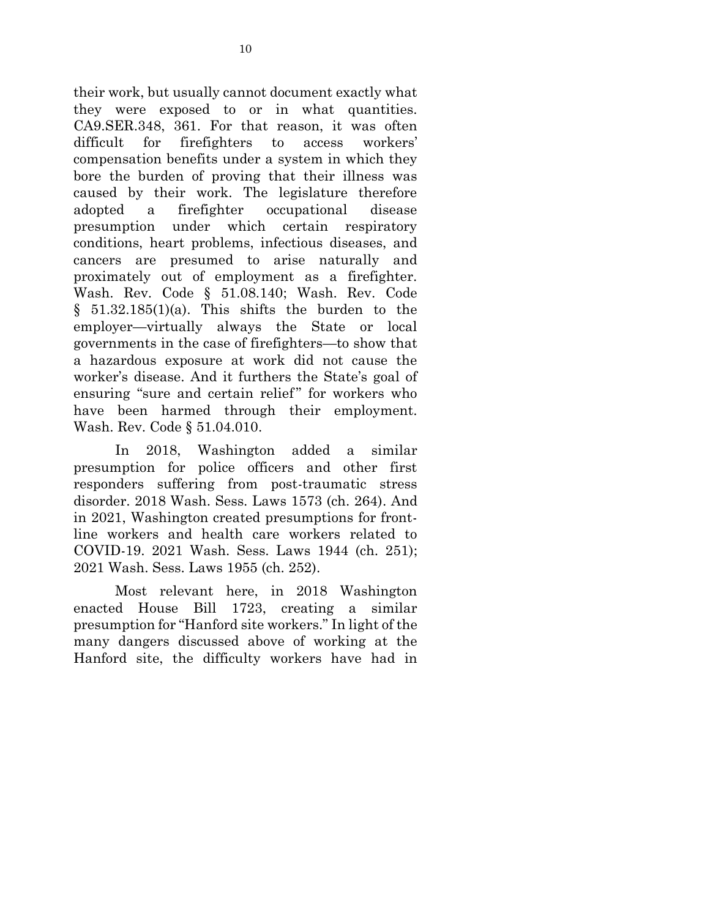their work, but usually cannot document exactly what they were exposed to or in what quantities. CA9.SER.348, 361. For that reason, it was often difficult for firefighters to access workers' compensation benefits under a system in which they bore the burden of proving that their illness was caused by their work. The legislature therefore adopted a firefighter occupational disease presumption under which certain respiratory conditions, heart problems, infectious diseases, and cancers are presumed to arise naturally and proximately out of employment as a firefighter. Wash. Rev. Code § 51.08.140; Wash. Rev. Code  $§ 51.32.185(1)(a)$ . This shifts the burden to the employer—virtually always the State or local governments in the case of firefighters—to show that a hazardous exposure at work did not cause the worker's disease. And it furthers the State's goal of ensuring "sure and certain relief" for workers who have been harmed through their employment. Wash. Rev. Code § 51.04.010.

In 2018, Washington added a similar presumption for police officers and other first responders suffering from post-traumatic stress disorder. 2018 Wash. Sess. Laws 1573 (ch. 264). And in 2021, Washington created presumptions for frontline workers and health care workers related to COVID-19. 2021 Wash. Sess. Laws 1944 (ch. 251); 2021 Wash. Sess. Laws 1955 (ch. 252).

Most relevant here, in 2018 Washington enacted House Bill 1723, creating a similar presumption for "Hanford site workers." In light of the many dangers discussed above of working at the Hanford site, the difficulty workers have had in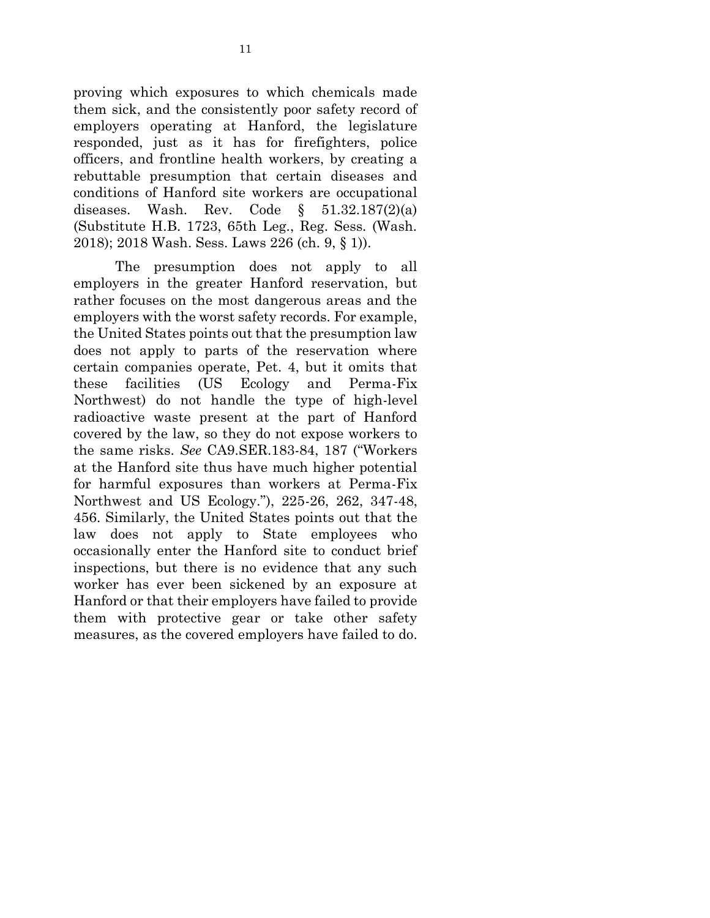proving which exposures to which chemicals made them sick, and the consistently poor safety record of employers operating at Hanford, the legislature responded, just as it has for firefighters, police officers, and frontline health workers, by creating a rebuttable presumption that certain diseases and conditions of Hanford site workers are occupational diseases. Wash. Rev. Code  $\delta$  51.32.187(2)(a) (Substitute H.B. 1723, 65th Leg., Reg. Sess. (Wash. 2018); 2018 Wash. Sess. Laws 226 (ch. 9, § 1)).

The presumption does not apply to all employers in the greater Hanford reservation, but rather focuses on the most dangerous areas and the employers with the worst safety records. For example, the United States points out that the presumption law does not apply to parts of the reservation where certain companies operate, Pet. 4, but it omits that these facilities (US Ecology and Perma-Fix Northwest) do not handle the type of high-level radioactive waste present at the part of Hanford covered by the law, so they do not expose workers to the same risks. *See* CA9.SER.183-84, 187 ("Workers at the Hanford site thus have much higher potential for harmful exposures than workers at Perma-Fix Northwest and US Ecology."), 225-26, 262, 347-48, 456. Similarly, the United States points out that the law does not apply to State employees who occasionally enter the Hanford site to conduct brief inspections, but there is no evidence that any such worker has ever been sickened by an exposure at Hanford or that their employers have failed to provide them with protective gear or take other safety measures, as the covered employers have failed to do.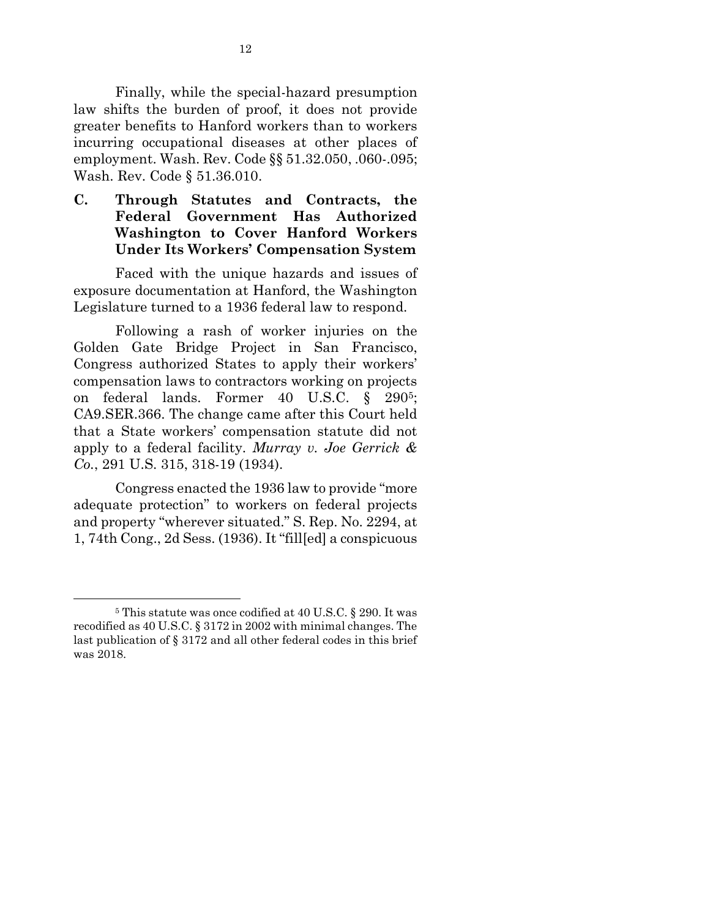Finally, while the special-hazard presumption law shifts the burden of proof, it does not provide greater benefits to Hanford workers than to workers incurring occupational diseases at other places of employment. Wash. Rev. Code §§ 51.32.050, .060-.095; Wash. Rev. Code § 51.36.010.

**C. Through Statutes and Contracts, the Federal Government Has Authorized Washington to Cover Hanford Workers Under Its Workers' Compensation System**

Faced with the unique hazards and issues of exposure documentation at Hanford, the Washington Legislature turned to a 1936 federal law to respond.

Following a rash of worker injuries on the Golden Gate Bridge Project in San Francisco, Congress authorized States to apply their workers' compensation laws to contractors working on projects on federal lands. Former 40 U.S.C. § 2905; CA9.SER.366. The change came after this Court held that a State workers' compensation statute did not apply to a federal facility. *Murray v. Joe Gerrick & Co.*, 291 U.S. 315, 318-19 (1934).

Congress enacted the 1936 law to provide "more adequate protection" to workers on federal projects and property "wherever situated." S. Rep. No. 2294, at 1, 74th Cong., 2d Sess. (1936). It "fill[ed] a conspicuous

1

<sup>5</sup> This statute was once codified at 40 U.S.C. § 290. It was recodified as 40 U.S.C. § 3172 in 2002 with minimal changes. The last publication of § 3172 and all other federal codes in this brief was 2018.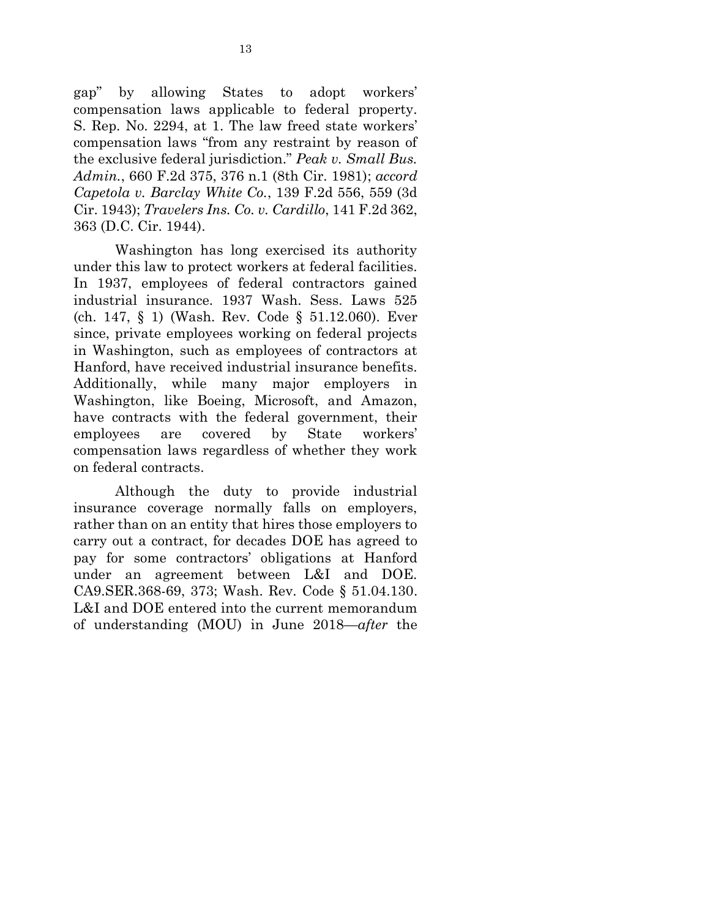gap" by allowing States to adopt workers' compensation laws applicable to federal property. S. Rep. No. 2294, at 1. The law freed state workers' compensation laws "from any restraint by reason of the exclusive federal jurisdiction." *Peak v. Small Bus. Admin.*, 660 F.2d 375, 376 n.1 (8th Cir. 1981); *accord Capetola v. Barclay White Co.*, 139 F.2d 556, 559 (3d Cir. 1943); *Travelers Ins. Co. v. Cardillo*, 141 F.2d 362, 363 (D.C. Cir. 1944).

Washington has long exercised its authority under this law to protect workers at federal facilities. In 1937, employees of federal contractors gained industrial insurance. 1937 Wash. Sess. Laws 525 (ch. 147, § 1) (Wash. Rev. Code § 51.12.060). Ever since, private employees working on federal projects in Washington, such as employees of contractors at Hanford, have received industrial insurance benefits. Additionally, while many major employers in Washington, like Boeing, Microsoft, and Amazon, have contracts with the federal government, their employees are covered by State workers' compensation laws regardless of whether they work on federal contracts.

Although the duty to provide industrial insurance coverage normally falls on employers, rather than on an entity that hires those employers to carry out a contract, for decades DOE has agreed to pay for some contractors' obligations at Hanford under an agreement between L&I and DOE. CA9.SER.368-69, 373; Wash. Rev. Code § 51.04.130. L&I and DOE entered into the current memorandum of understanding (MOU) in June 2018—*after* the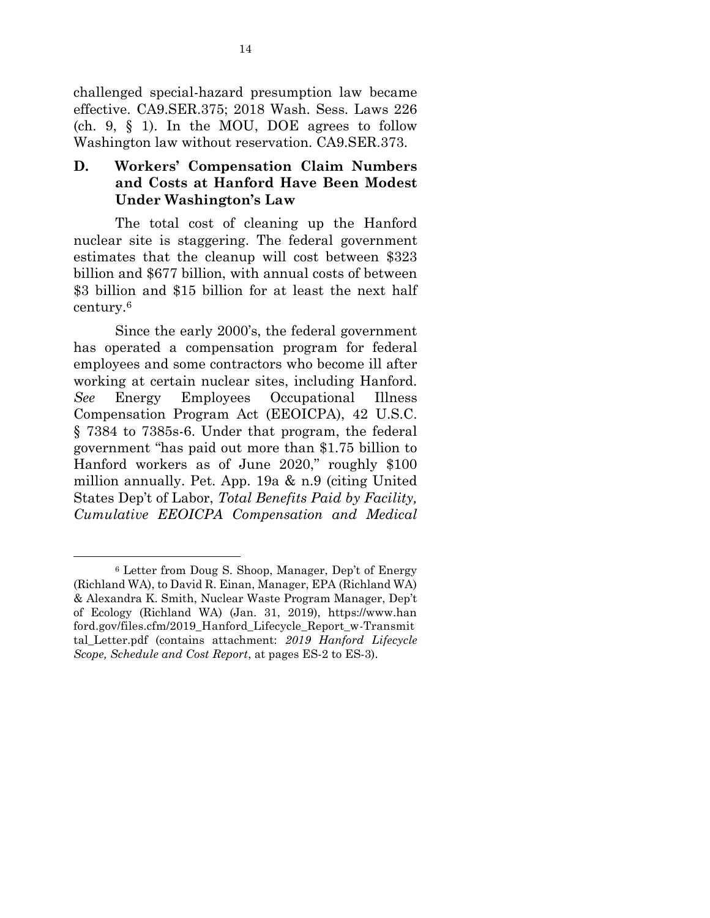challenged special-hazard presumption law became effective. CA9.SER.375; 2018 Wash. Sess. Laws 226 (ch. 9, § 1). In the MOU, DOE agrees to follow Washington law without reservation. CA9.SER.373.

### **D. Workers' Compensation Claim Numbers and Costs at Hanford Have Been Modest Under Washington's Law**

The total cost of cleaning up the Hanford nuclear site is staggering. The federal government estimates that the cleanup will cost between \$323 billion and \$677 billion, with annual costs of between \$3 billion and \$15 billion for at least the next half century.<sup>6</sup>

Since the early 2000's, the federal government has operated a compensation program for federal employees and some contractors who become ill after working at certain nuclear sites, including Hanford. *See* Energy Employees Occupational Illness Compensation Program Act (EEOICPA), 42 U.S.C. § 7384 to 7385s-6. Under that program, the federal government "has paid out more than \$1.75 billion to Hanford workers as of June 2020," roughly \$100 million annually. Pet. App. 19a & n.9 (citing United States Dep't of Labor, *Total Benefits Paid by Facility, Cumulative EEOICPA Compensation and Medical*

 $\overline{a}$ 

<sup>6</sup> Letter from Doug S. Shoop, Manager, Dep't of Energy (Richland WA), to David R. Einan, Manager, EPA (Richland WA) & Alexandra K. Smith, Nuclear Waste Program Manager, Dep't of Ecology (Richland WA) (Jan. 31, 2019), https://www.han ford.gov/files.cfm/2019\_Hanford\_Lifecycle\_Report\_w-Transmit tal\_Letter.pdf (contains attachment: *2019 Hanford Lifecycle Scope, Schedule and Cost Report*, at pages ES-2 to ES-3).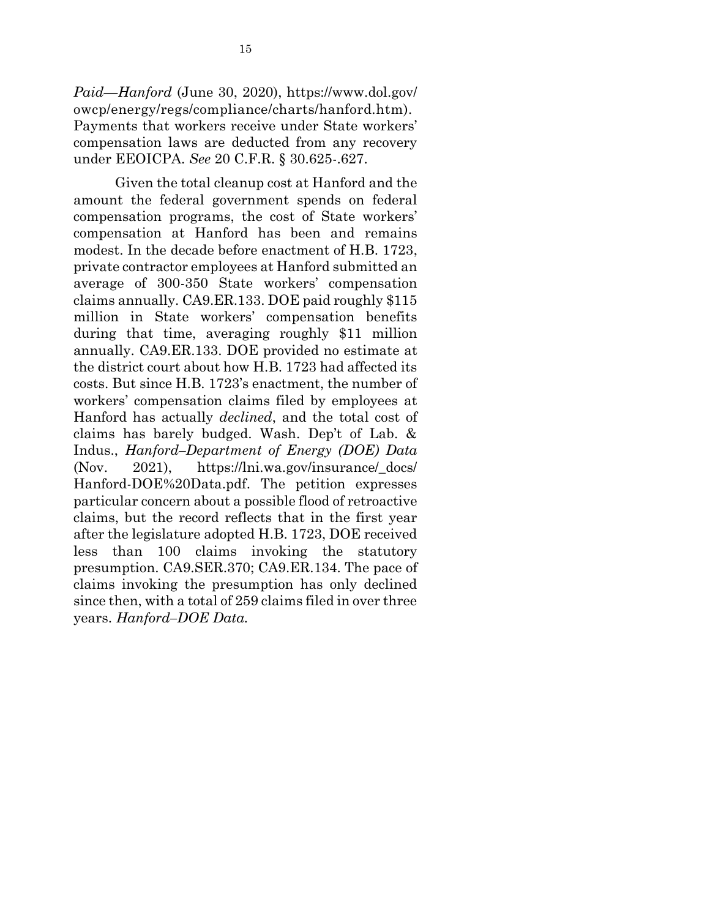*Paid—Hanford* (June 30, 2020), https://www.dol.gov/ owcp/energy/regs/compliance/charts/hanford.htm). Payments that workers receive under State workers' compensation laws are deducted from any recovery under EEOICPA. *See* 20 C.F.R. § 30.625-.627.

Given the total cleanup cost at Hanford and the amount the federal government spends on federal compensation programs, the cost of State workers' compensation at Hanford has been and remains modest. In the decade before enactment of H.B. 1723, private contractor employees at Hanford submitted an average of 300-350 State workers' compensation claims annually. CA9.ER.133. DOE paid roughly \$115 million in State workers' compensation benefits during that time, averaging roughly \$11 million annually. CA9.ER.133. DOE provided no estimate at the district court about how H.B. 1723 had affected its costs. But since H.B. 1723's enactment, the number of workers' compensation claims filed by employees at Hanford has actually *declined*, and the total cost of claims has barely budged. Wash. Dep't of Lab. & Indus., *Hanford–Department of Energy (DOE) Data* (Nov. 2021), https://lni.wa.gov/insurance/\_docs/ Hanford-DOE%20Data.pdf. The petition expresses particular concern about a possible flood of retroactive claims, but the record reflects that in the first year after the legislature adopted H.B. 1723, DOE received less than 100 claims invoking the statutory presumption. CA9.SER.370; CA9.ER.134. The pace of claims invoking the presumption has only declined since then, with a total of 259 claims filed in over three years. *Hanford–DOE Data.*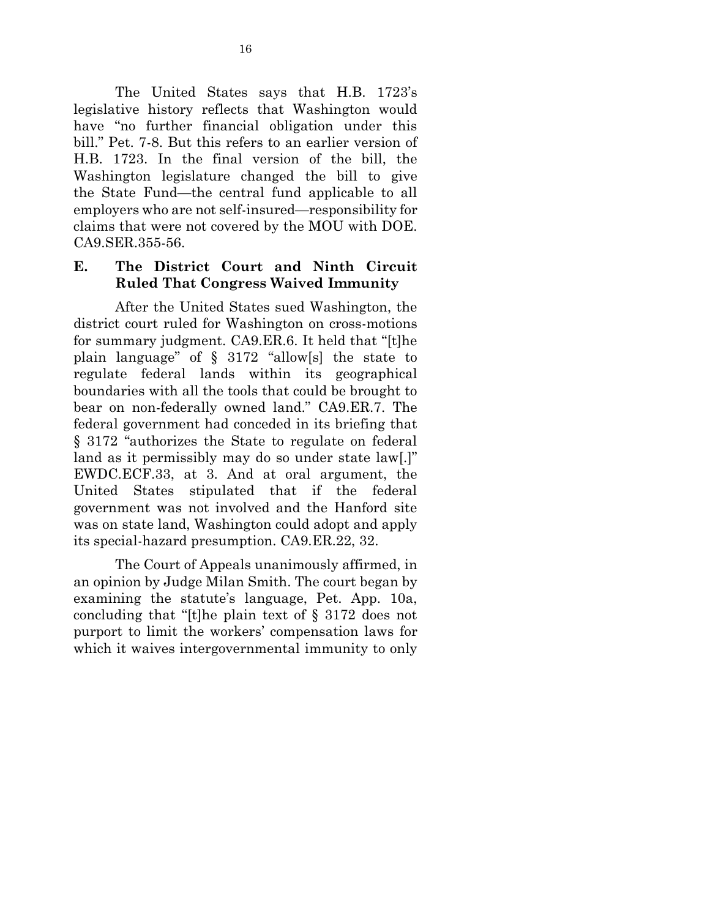The United States says that H.B. 1723's legislative history reflects that Washington would have "no further financial obligation under this bill." Pet. 7-8. But this refers to an earlier version of H.B. 1723. In the final version of the bill, the Washington legislature changed the bill to give the State Fund—the central fund applicable to all employers who are not self-insured—responsibility for claims that were not covered by the MOU with DOE. CA9.SER.355-56.

### **E. The District Court and Ninth Circuit Ruled That Congress Waived Immunity**

After the United States sued Washington, the district court ruled for Washington on cross-motions for summary judgment. CA9.ER.6. It held that "[t]he plain language" of  $\S$  3172 "allow[s] the state to regulate federal lands within its geographical boundaries with all the tools that could be brought to bear on non-federally owned land." CA9.ER.7. The federal government had conceded in its briefing that § 3172 "authorizes the State to regulate on federal land as it permissibly may do so under state law[.]" EWDC.ECF.33, at 3. And at oral argument, the United States stipulated that if the federal government was not involved and the Hanford site was on state land, Washington could adopt and apply its special-hazard presumption. CA9.ER.22, 32.

The Court of Appeals unanimously affirmed, in an opinion by Judge Milan Smith. The court began by examining the statute's language, Pet. App. 10a, concluding that "[t]he plain text of § 3172 does not purport to limit the workers' compensation laws for which it waives intergovernmental immunity to only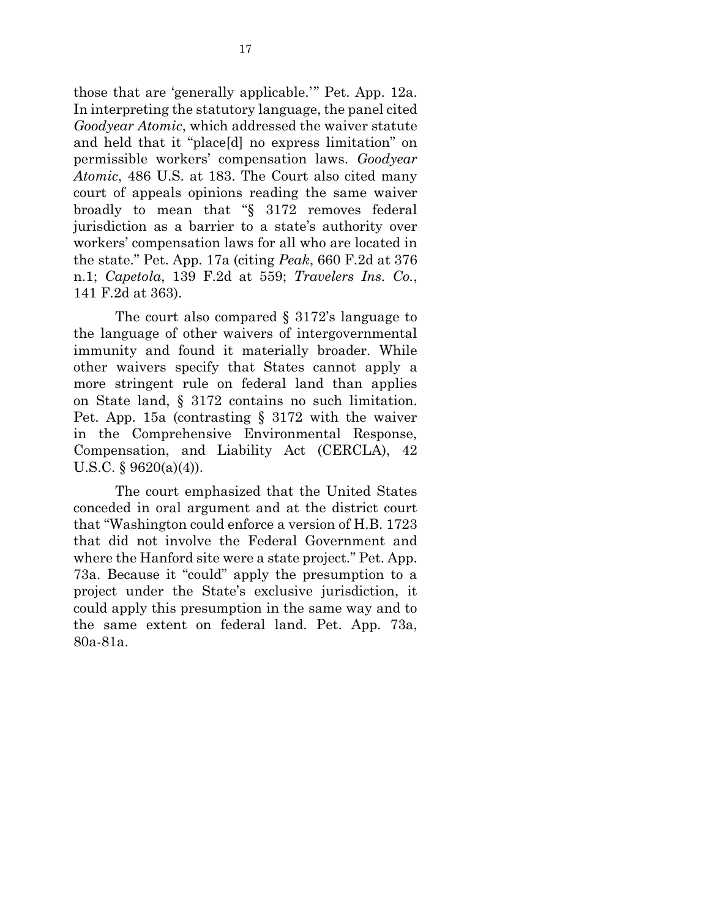those that are 'generally applicable.'" Pet. App. 12a. In interpreting the statutory language, the panel cited *Goodyear Atomic*, which addressed the waiver statute and held that it "place[d] no express limitation" on permissible workers' compensation laws. *Goodyear Atomic*, 486 U.S. at 183. The Court also cited many court of appeals opinions reading the same waiver broadly to mean that "§ 3172 removes federal jurisdiction as a barrier to a state's authority over workers' compensation laws for all who are located in the state." Pet. App. 17a (citing *Peak*, 660 F.2d at 376 n.1; *Capetola*, 139 F.2d at 559; *Travelers Ins. Co.*, 141 F.2d at 363).

The court also compared § 3172's language to the language of other waivers of intergovernmental immunity and found it materially broader. While other waivers specify that States cannot apply a more stringent rule on federal land than applies on State land, § 3172 contains no such limitation. Pet. App. 15a (contrasting § 3172 with the waiver in the Comprehensive Environmental Response, Compensation, and Liability Act (CERCLA), 42 U.S.C. § 9620(a)(4)).

The court emphasized that the United States conceded in oral argument and at the district court that "Washington could enforce a version of H.B. 1723 that did not involve the Federal Government and where the Hanford site were a state project." Pet. App. 73a. Because it "could" apply the presumption to a project under the State's exclusive jurisdiction, it could apply this presumption in the same way and to the same extent on federal land. Pet. App. 73a, 80a-81a.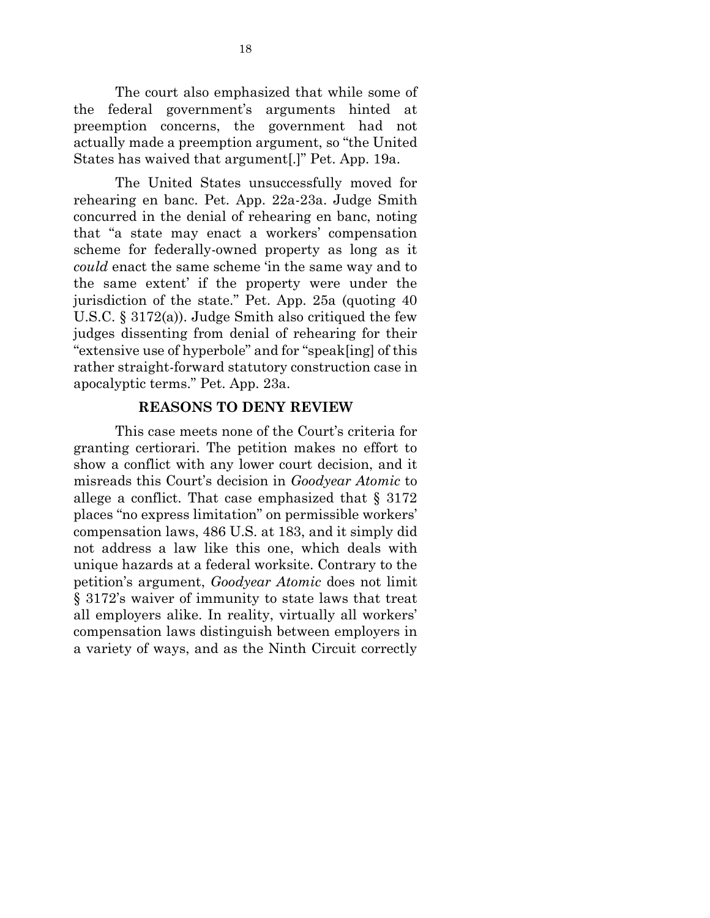The court also emphasized that while some of the federal government's arguments hinted at preemption concerns, the government had not actually made a preemption argument, so "the United States has waived that argument[.]" Pet. App. 19a.

The United States unsuccessfully moved for rehearing en banc. Pet. App. 22a-23a. Judge Smith concurred in the denial of rehearing en banc, noting that "a state may enact a workers' compensation scheme for federally-owned property as long as it *could* enact the same scheme 'in the same way and to the same extent' if the property were under the jurisdiction of the state." Pet. App. 25a (quoting 40 U.S.C. § 3172(a)). Judge Smith also critiqued the few judges dissenting from denial of rehearing for their "extensive use of hyperbole" and for "speak[ing] of this rather straight-forward statutory construction case in apocalyptic terms." Pet. App. 23a.

### **REASONS TO DENY REVIEW**

This case meets none of the Court's criteria for granting certiorari. The petition makes no effort to show a conflict with any lower court decision, and it misreads this Court's decision in *Goodyear Atomic* to allege a conflict. That case emphasized that  $\S 3172$ places "no express limitation" on permissible workers' compensation laws, 486 U.S. at 183, and it simply did not address a law like this one, which deals with unique hazards at a federal worksite. Contrary to the petition's argument, *Goodyear Atomic* does not limit § 3172's waiver of immunity to state laws that treat all employers alike. In reality, virtually all workers' compensation laws distinguish between employers in a variety of ways, and as the Ninth Circuit correctly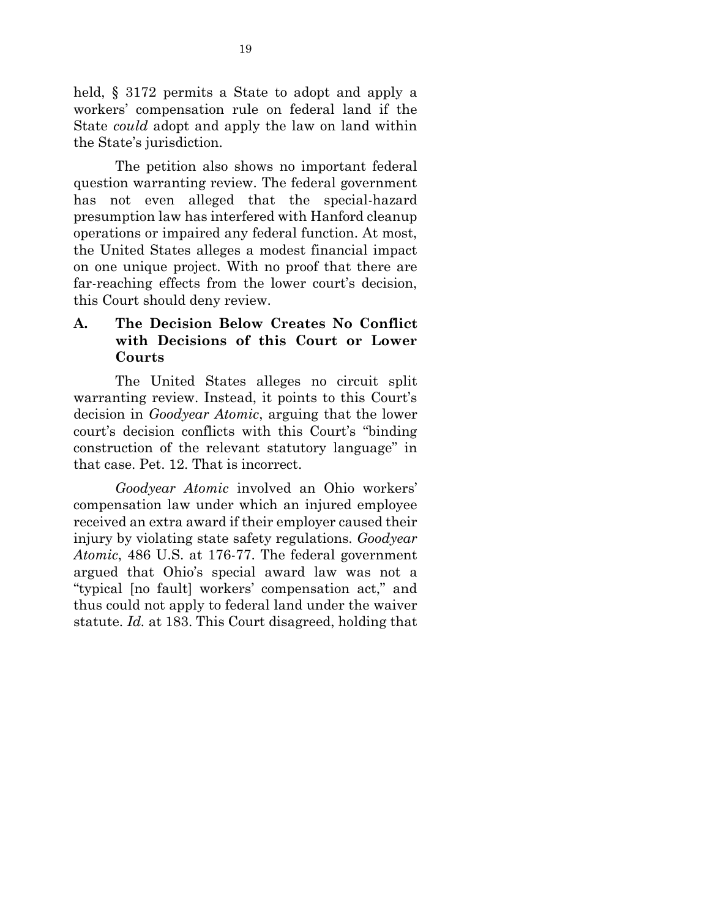held, § 3172 permits a State to adopt and apply a workers' compensation rule on federal land if the State *could* adopt and apply the law on land within the State's jurisdiction.

The petition also shows no important federal question warranting review. The federal government has not even alleged that the special-hazard presumption law has interfered with Hanford cleanup operations or impaired any federal function. At most, the United States alleges a modest financial impact on one unique project. With no proof that there are far-reaching effects from the lower court's decision, this Court should deny review.

## **A. The Decision Below Creates No Conflict with Decisions of this Court or Lower Courts**

The United States alleges no circuit split warranting review. Instead, it points to this Court's decision in *Goodyear Atomic*, arguing that the lower court's decision conflicts with this Court's "binding construction of the relevant statutory language" in that case. Pet. 12. That is incorrect.

*Goodyear Atomic* involved an Ohio workers' compensation law under which an injured employee received an extra award if their employer caused their injury by violating state safety regulations. *Goodyear Atomic*, 486 U.S. at 176-77. The federal government argued that Ohio's special award law was not a "typical [no fault] workers' compensation act," and thus could not apply to federal land under the waiver statute. *Id.* at 183. This Court disagreed, holding that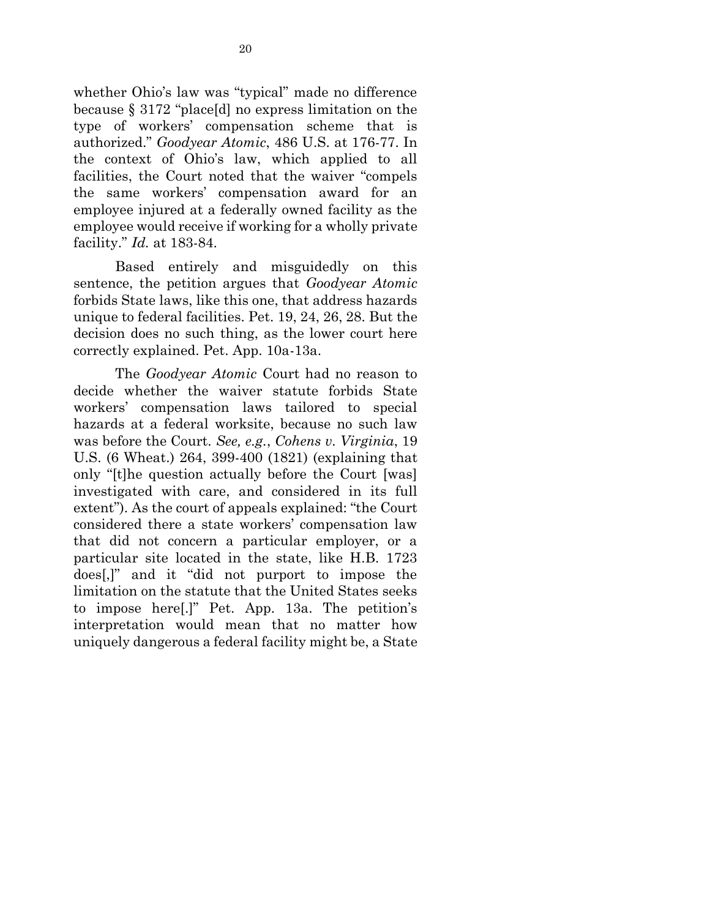whether Ohio's law was "typical" made no difference because § 3172 "place[d] no express limitation on the type of workers' compensation scheme that is authorized." *Goodyear Atomic*, 486 U.S. at 176-77. In the context of Ohio's law, which applied to all facilities, the Court noted that the waiver "compels the same workers' compensation award for an employee injured at a federally owned facility as the employee would receive if working for a wholly private facility." *Id.* at 183-84.

Based entirely and misguidedly on this sentence, the petition argues that *Goodyear Atomic* forbids State laws, like this one, that address hazards unique to federal facilities. Pet. 19, 24, 26, 28. But the decision does no such thing, as the lower court here correctly explained. Pet. App. 10a-13a.

The *Goodyear Atomic* Court had no reason to decide whether the waiver statute forbids State workers' compensation laws tailored to special hazards at a federal worksite, because no such law was before the Court. *See, e.g.*, *Cohens v. Virginia*, 19 U.S. (6 Wheat.) 264, 399-400 (1821) (explaining that only "[t]he question actually before the Court [was] investigated with care, and considered in its full extent"). As the court of appeals explained: "the Court considered there a state workers' compensation law that did not concern a particular employer, or a particular site located in the state, like H.B. 1723 does[,]" and it "did not purport to impose the limitation on the statute that the United States seeks to impose here[.]" Pet. App. 13a. The petition's interpretation would mean that no matter how uniquely dangerous a federal facility might be, a State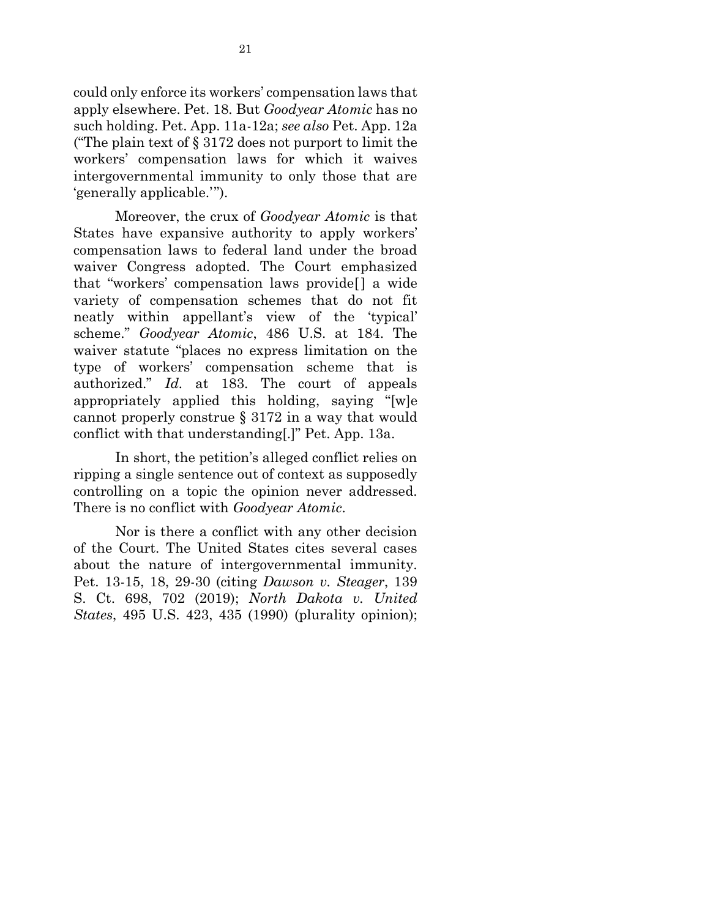could only enforce its workers' compensation laws that apply elsewhere. Pet. 18. But *Goodyear Atomic* has no such holding. Pet. App. 11a-12a; *see also* Pet. App. 12a ("The plain text of § 3172 does not purport to limit the workers' compensation laws for which it waives intergovernmental immunity to only those that are 'generally applicable.'").

Moreover, the crux of *Goodyear Atomic* is that States have expansive authority to apply workers' compensation laws to federal land under the broad waiver Congress adopted. The Court emphasized that "workers' compensation laws provide[ ] a wide variety of compensation schemes that do not fit neatly within appellant's view of the 'typical' scheme." *Goodyear Atomic*, 486 U.S. at 184. The waiver statute "places no express limitation on the type of workers' compensation scheme that is authorized." *Id.* at 183. The court of appeals appropriately applied this holding, saying "[w]e cannot properly construe § 3172 in a way that would conflict with that understanding[.]" Pet. App. 13a.

In short, the petition's alleged conflict relies on ripping a single sentence out of context as supposedly controlling on a topic the opinion never addressed. There is no conflict with *Goodyear Atomic*.

Nor is there a conflict with any other decision of the Court. The United States cites several cases about the nature of intergovernmental immunity. Pet. 13-15, 18, 29-30 (citing *Dawson v. Steager*, 139 S. Ct. 698, 702 (2019); *North Dakota v. United States*, 495 U.S. 423, 435 (1990) (plurality opinion);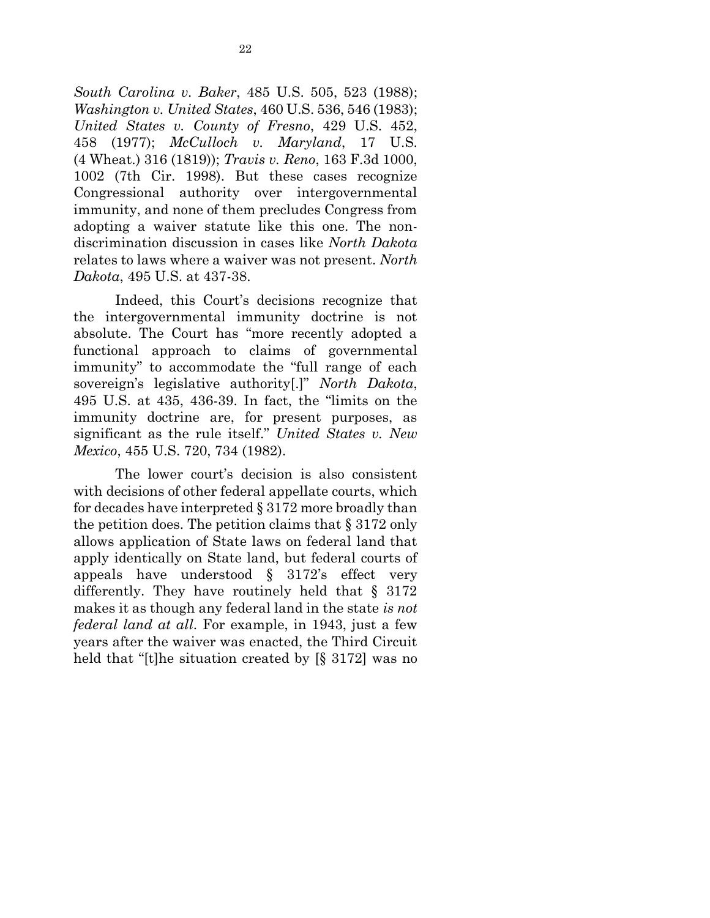*South Carolina v. Baker*, 485 U.S. 505, 523 (1988); *Washington v. United States*, 460 U.S. 536, 546 (1983); *United States v. County of Fresno*, 429 U.S. 452, 458 (1977); *McCulloch v. Maryland*, 17 U.S. (4 Wheat.) 316 (1819)); *Travis v. Reno*, 163 F.3d 1000, 1002 (7th Cir. 1998). But these cases recognize Congressional authority over intergovernmental immunity, and none of them precludes Congress from adopting a waiver statute like this one. The nondiscrimination discussion in cases like *North Dakota* relates to laws where a waiver was not present. *North Dakota*, 495 U.S. at 437-38.

Indeed, this Court's decisions recognize that the intergovernmental immunity doctrine is not absolute. The Court has "more recently adopted a functional approach to claims of governmental immunity" to accommodate the "full range of each sovereign's legislative authority[.]" *North Dakota*, 495 U.S. at 435, 436-39. In fact, the "limits on the immunity doctrine are, for present purposes, as significant as the rule itself." *United States v. New Mexico*, 455 U.S. 720, 734 (1982).

The lower court's decision is also consistent with decisions of other federal appellate courts, which for decades have interpreted § 3172 more broadly than the petition does. The petition claims that § 3172 only allows application of State laws on federal land that apply identically on State land, but federal courts of appeals have understood § 3172's effect very differently. They have routinely held that § 3172 makes it as though any federal land in the state *is not federal land at all*. For example, in 1943, just a few years after the waiver was enacted, the Third Circuit held that "[t]he situation created by [§ 3172] was no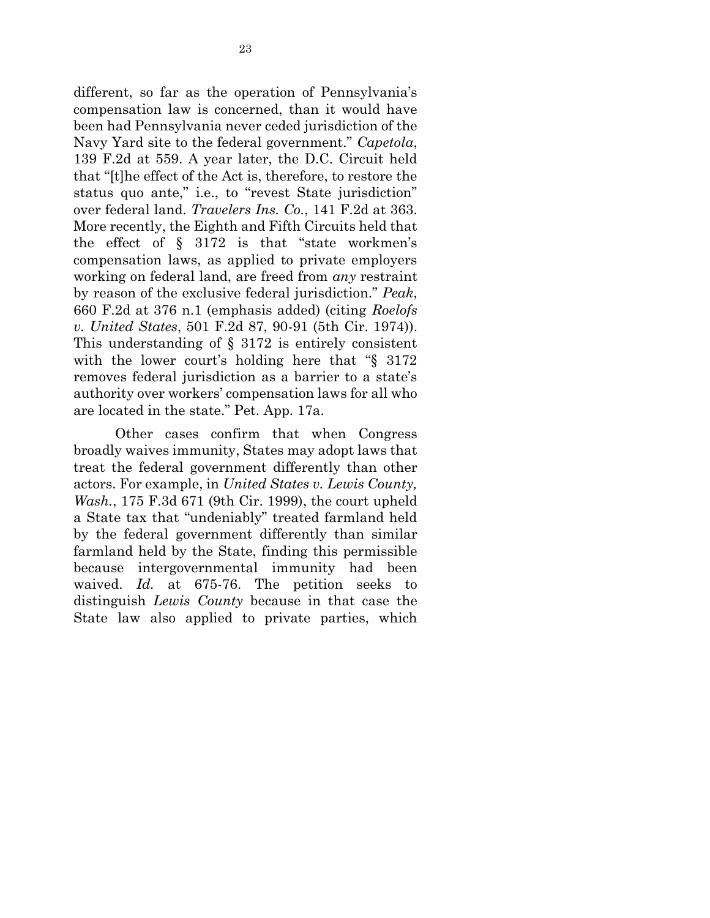different, so far as the operation of Pennsylvania's compensation law is concerned, than it would have been had Pennsylvania never ceded jurisdiction of the Navy Yard site to the federal government." *Capetola*, 139 F.2d at 559. A year later, the D.C. Circuit held that "[t]he effect of the Act is, therefore, to restore the status quo ante," i.e., to "revest State jurisdiction" over federal land. *Travelers Ins. Co.*, 141 F.2d at 363. More recently, the Eighth and Fifth Circuits held that the effect of § 3172 is that "state workmen's compensation laws, as applied to private employers working on federal land, are freed from *any* restraint by reason of the exclusive federal jurisdiction." *Peak*, 660 F.2d at 376 n.1 (emphasis added) (citing *Roelofs v. United States*, 501 F.2d 87, 90-91 (5th Cir. 1974)). This understanding of  $\S$  3172 is entirely consistent with the lower court's holding here that "§ 3172 removes federal jurisdiction as a barrier to a state's authority over workers' compensation laws for all who are located in the state." Pet. App. 17a.

Other cases confirm that when Congress broadly waives immunity, States may adopt laws that treat the federal government differently than other actors. For example, in *United States v. Lewis County, Wash.*, 175 F.3d 671 (9th Cir. 1999), the court upheld a State tax that "undeniably" treated farmland held by the federal government differently than similar farmland held by the State, finding this permissible because intergovernmental immunity had been waived. *Id.* at 675-76. The petition seeks to distinguish *Lewis County* because in that case the State law also applied to private parties, which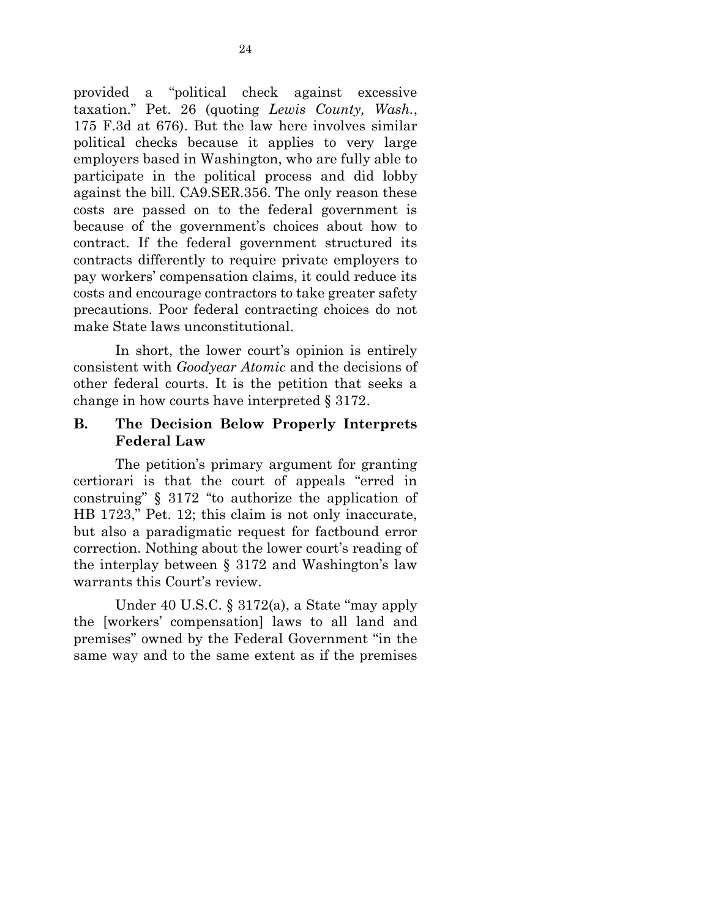provided a "political check against excessive taxation." Pet. 26 (quoting *Lewis County, Wash.*, 175 F.3d at 676). But the law here involves similar political checks because it applies to very large employers based in Washington, who are fully able to participate in the political process and did lobby against the bill. CA9.SER.356. The only reason these costs are passed on to the federal government is because of the government's choices about how to contract. If the federal government structured its contracts differently to require private employers to pay workers' compensation claims, it could reduce its costs and encourage contractors to take greater safety precautions. Poor federal contracting choices do not make State laws unconstitutional.

In short, the lower court's opinion is entirely consistent with *Goodyear Atomic* and the decisions of other federal courts. It is the petition that seeks a change in how courts have interpreted § 3172.

## **B. The Decision Below Properly Interprets Federal Law**

The petition's primary argument for granting certiorari is that the court of appeals "erred in construing" § 3172 "to authorize the application of HB 1723," Pet. 12; this claim is not only inaccurate, but also a paradigmatic request for factbound error correction. Nothing about the lower court's reading of the interplay between § 3172 and Washington's law warrants this Court's review.

Under 40 U.S.C. § 3172(a), a State "may apply the [workers' compensation] laws to all land and premises" owned by the Federal Government "in the same way and to the same extent as if the premises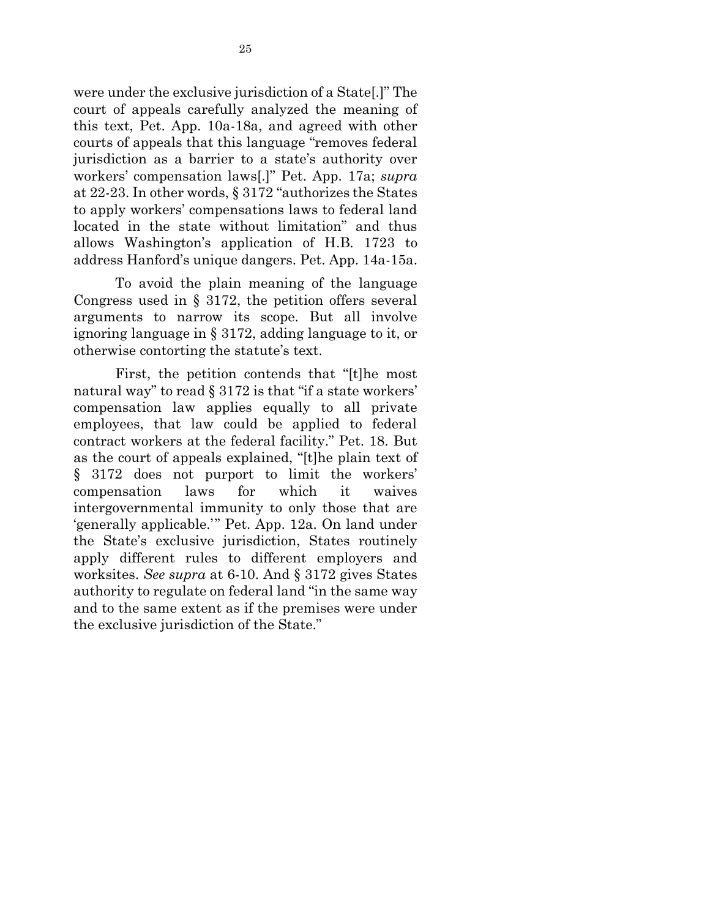were under the exclusive jurisdiction of a State[.]" The court of appeals carefully analyzed the meaning of this text, Pet. App. 10a-18a, and agreed with other courts of appeals that this language "removes federal jurisdiction as a barrier to a state's authority over workers' compensation laws[.]" Pet. App. 17a; *supra* at 22-23. In other words, § 3172 "authorizes the States to apply workers' compensations laws to federal land located in the state without limitation" and thus allows Washington's application of H.B. 1723 to address Hanford's unique dangers. Pet. App. 14a-15a.

To avoid the plain meaning of the language Congress used in § 3172, the petition offers several arguments to narrow its scope. But all involve ignoring language in § 3172, adding language to it, or otherwise contorting the statute's text.

First, the petition contends that "[t]he most natural way" to read § 3172 is that "if a state workers" compensation law applies equally to all private employees, that law could be applied to federal contract workers at the federal facility." Pet. 18. But as the court of appeals explained, "[t]he plain text of § 3172 does not purport to limit the workers' compensation laws for which it waives intergovernmental immunity to only those that are 'generally applicable.'" Pet. App. 12a. On land under the State's exclusive jurisdiction, States routinely apply different rules to different employers and worksites. *See supra* at 6-10. And § 3172 gives States authority to regulate on federal land "in the same way and to the same extent as if the premises were under the exclusive jurisdiction of the State."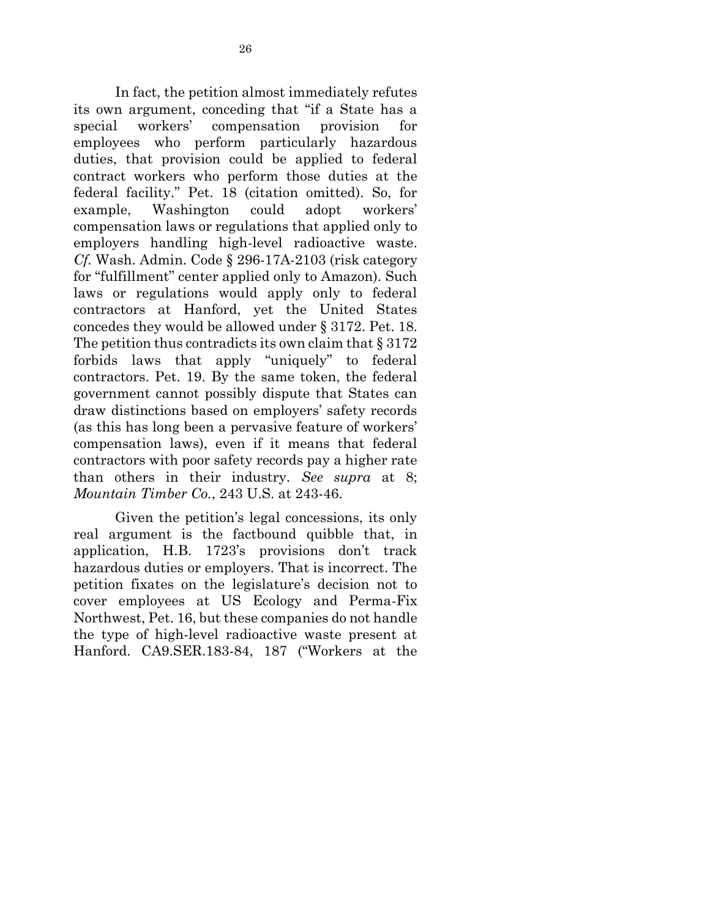In fact, the petition almost immediately refutes its own argument, conceding that "if a State has a special workers' compensation provision for employees who perform particularly hazardous duties, that provision could be applied to federal contract workers who perform those duties at the federal facility." Pet. 18 (citation omitted). So, for example, Washington could adopt workers' compensation laws or regulations that applied only to employers handling high-level radioactive waste. *Cf.* Wash. Admin. Code § 296-17A-2103 (risk category for "fulfillment" center applied only to Amazon). Such laws or regulations would apply only to federal contractors at Hanford, yet the United States concedes they would be allowed under § 3172. Pet. 18. The petition thus contradicts its own claim that  $\S 3172$ forbids laws that apply "uniquely" to federal contractors. Pet. 19. By the same token, the federal government cannot possibly dispute that States can draw distinctions based on employers' safety records (as this has long been a pervasive feature of workers' compensation laws), even if it means that federal contractors with poor safety records pay a higher rate than others in their industry. *See supra* at 8; *Mountain Timber Co.*, 243 U.S. at 243-46.

Given the petition's legal concessions, its only real argument is the factbound quibble that, in application, H.B. 1723's provisions don't track hazardous duties or employers. That is incorrect. The petition fixates on the legislature's decision not to cover employees at US Ecology and Perma-Fix Northwest, Pet. 16, but these companies do not handle the type of high-level radioactive waste present at Hanford. CA9.SER.183-84, 187 ("Workers at the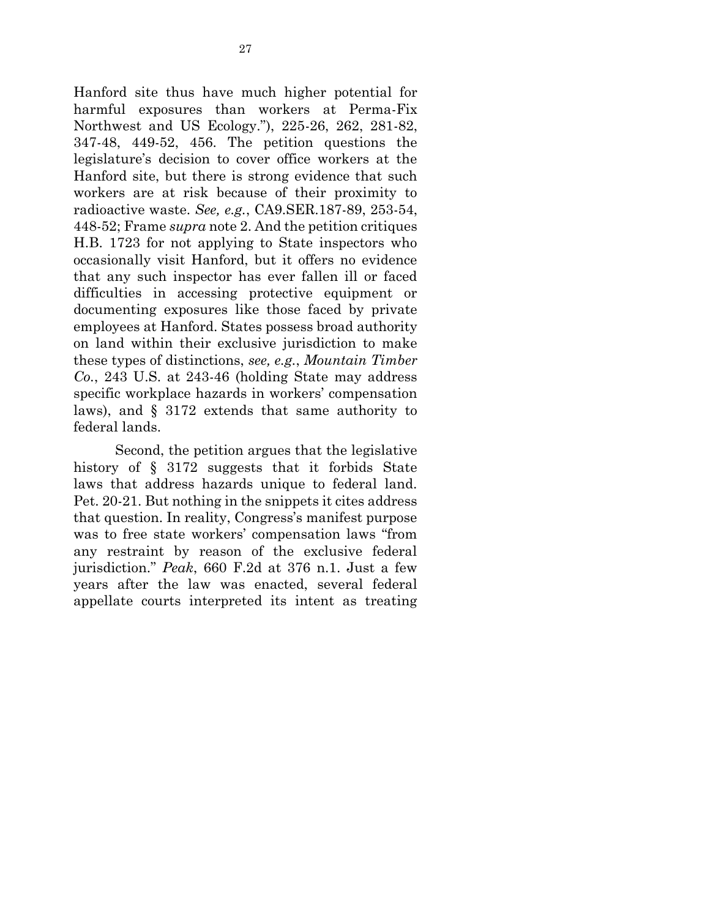Hanford site thus have much higher potential for harmful exposures than workers at Perma-Fix Northwest and US Ecology."), 225-26, 262, 281-82, 347-48, 449-52, 456. The petition questions the legislature's decision to cover office workers at the Hanford site, but there is strong evidence that such workers are at risk because of their proximity to radioactive waste. *See, e.g.*, CA9.SER.187-89, 253-54, 448-52; Frame *supra* note 2. And the petition critiques H.B. 1723 for not applying to State inspectors who occasionally visit Hanford, but it offers no evidence that any such inspector has ever fallen ill or faced difficulties in accessing protective equipment or documenting exposures like those faced by private employees at Hanford. States possess broad authority on land within their exclusive jurisdiction to make these types of distinctions, *see, e.g.*, *Mountain Timber Co.*, 243 U.S. at 243-46 (holding State may address specific workplace hazards in workers' compensation laws), and § 3172 extends that same authority to federal lands.

Second, the petition argues that the legislative history of § 3172 suggests that it forbids State laws that address hazards unique to federal land. Pet. 20-21. But nothing in the snippets it cites address that question. In reality, Congress's manifest purpose was to free state workers' compensation laws "from any restraint by reason of the exclusive federal jurisdiction." *Peak*, 660 F.2d at 376 n.1. Just a few years after the law was enacted, several federal appellate courts interpreted its intent as treating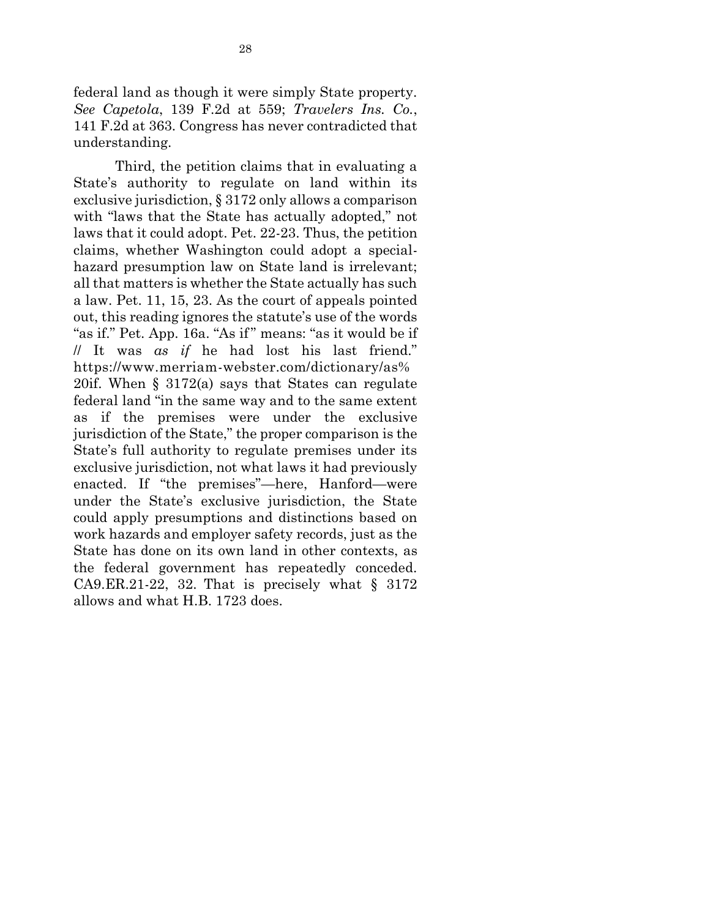federal land as though it were simply State property. *See Capetola*, 139 F.2d at 559; *Travelers Ins. Co.*, 141 F.2d at 363. Congress has never contradicted that understanding.

Third, the petition claims that in evaluating a State's authority to regulate on land within its exclusive jurisdiction, § 3172 only allows a comparison with "laws that the State has actually adopted," not laws that it could adopt. Pet. 22-23. Thus, the petition claims, whether Washington could adopt a specialhazard presumption law on State land is irrelevant; all that matters is whether the State actually has such a law. Pet. 11, 15, 23. As the court of appeals pointed out, this reading ignores the statute's use of the words "as if." Pet. App. 16a. "As if" means: "as it would be if // It was *as if* he had lost his last friend." https://www.merriam-webster.com/dictionary/as% 20if. When § 3172(a) says that States can regulate federal land "in the same way and to the same extent as if the premises were under the exclusive jurisdiction of the State," the proper comparison is the State's full authority to regulate premises under its exclusive jurisdiction, not what laws it had previously enacted. If "the premises"—here, Hanford—were under the State's exclusive jurisdiction, the State could apply presumptions and distinctions based on work hazards and employer safety records, just as the State has done on its own land in other contexts, as the federal government has repeatedly conceded. CA9.ER.21-22, 32. That is precisely what  $\S$  3172 allows and what H.B. 1723 does.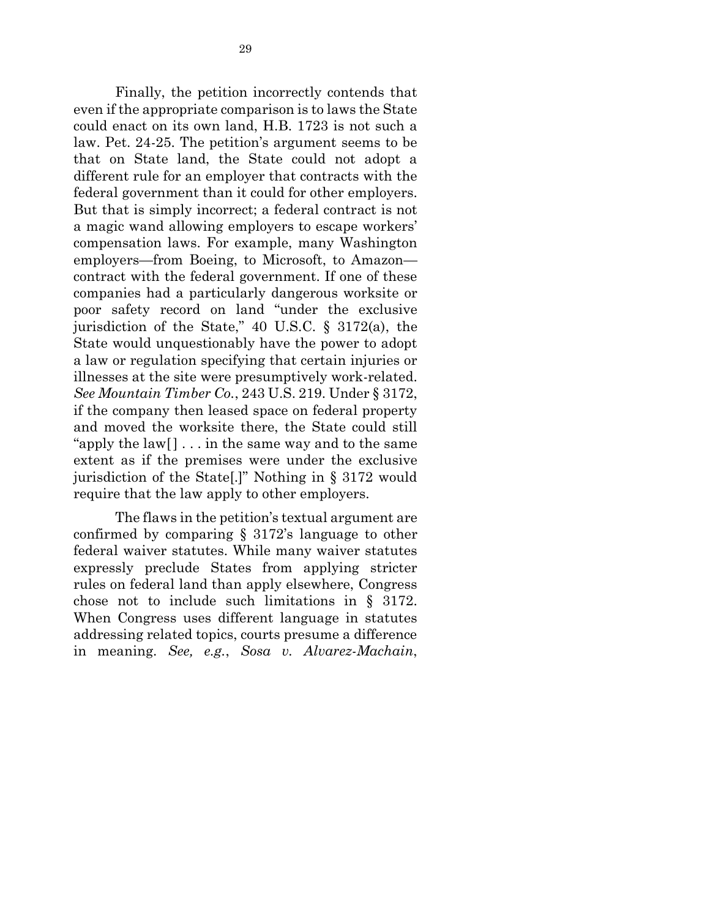Finally, the petition incorrectly contends that even if the appropriate comparison is to laws the State could enact on its own land, H.B. 1723 is not such a law. Pet. 24-25. The petition's argument seems to be that on State land, the State could not adopt a different rule for an employer that contracts with the federal government than it could for other employers. But that is simply incorrect; a federal contract is not a magic wand allowing employers to escape workers' compensation laws. For example, many Washington employers—from Boeing, to Microsoft, to Amazon contract with the federal government. If one of these companies had a particularly dangerous worksite or poor safety record on land "under the exclusive jurisdiction of the State," 40 U.S.C. § 3172(a), the State would unquestionably have the power to adopt a law or regulation specifying that certain injuries or illnesses at the site were presumptively work-related. *See Mountain Timber Co.*, 243 U.S. 219. Under § 3172, if the company then leased space on federal property and moved the worksite there, the State could still "apply the  $\lceil \text{law} \rceil \rceil$ ... in the same way and to the same extent as if the premises were under the exclusive jurisdiction of the State[.]" Nothing in § 3172 would require that the law apply to other employers.

The flaws in the petition's textual argument are confirmed by comparing § 3172's language to other federal waiver statutes. While many waiver statutes expressly preclude States from applying stricter rules on federal land than apply elsewhere, Congress chose not to include such limitations in § 3172. When Congress uses different language in statutes addressing related topics, courts presume a difference in meaning. *See, e.g.*, *Sosa v. Alvarez-Machain*,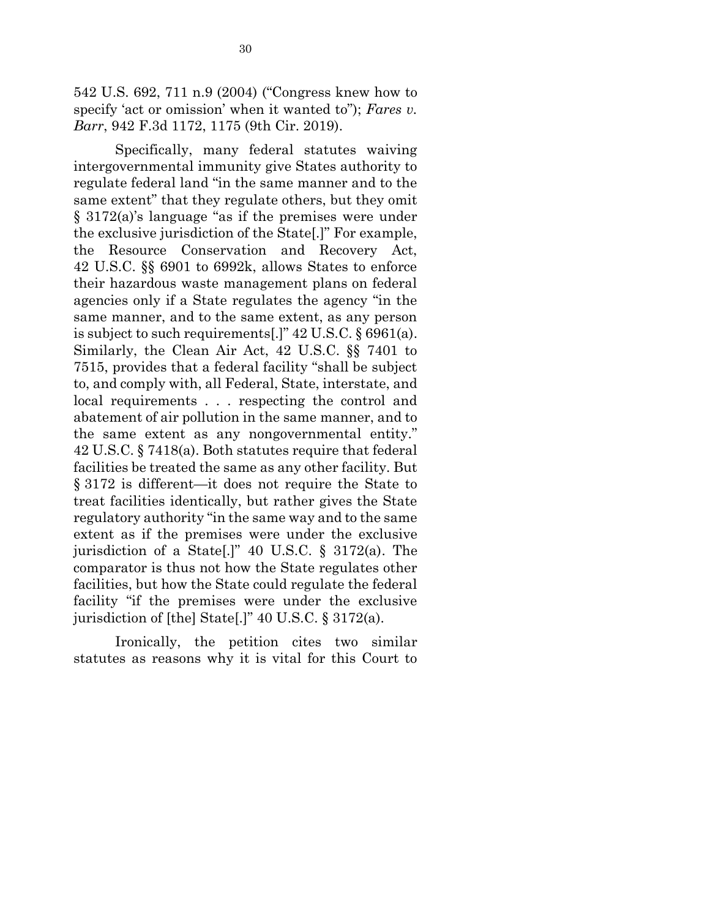542 U.S. 692, 711 n.9 (2004) ("Congress knew how to specify 'act or omission' when it wanted to"); *Fares v. Barr*, 942 F.3d 1172, 1175 (9th Cir. 2019).

Specifically, many federal statutes waiving intergovernmental immunity give States authority to regulate federal land "in the same manner and to the same extent" that they regulate others, but they omit § 3172(a)'s language "as if the premises were under the exclusive jurisdiction of the State[.]" For example, the Resource Conservation and Recovery Act, 42 U.S.C. §§ 6901 to 6992k, allows States to enforce their hazardous waste management plans on federal agencies only if a State regulates the agency "in the same manner, and to the same extent, as any person is subject to such requirements[.]" 42 U.S.C. § 6961(a). Similarly, the Clean Air Act, 42 U.S.C. §§ 7401 to 7515, provides that a federal facility "shall be subject to, and comply with, all Federal, State, interstate, and local requirements . . . respecting the control and abatement of air pollution in the same manner, and to the same extent as any nongovernmental entity." 42 U.S.C. § 7418(a). Both statutes require that federal facilities be treated the same as any other facility. But § 3172 is different—it does not require the State to treat facilities identically, but rather gives the State regulatory authority "in the same way and to the same extent as if the premises were under the exclusive jurisdiction of a State[.]" 40 U.S.C. § 3172(a). The comparator is thus not how the State regulates other facilities, but how the State could regulate the federal facility "if the premises were under the exclusive jurisdiction of [the] State[.]" 40 U.S.C. § 3172(a).

Ironically, the petition cites two similar statutes as reasons why it is vital for this Court to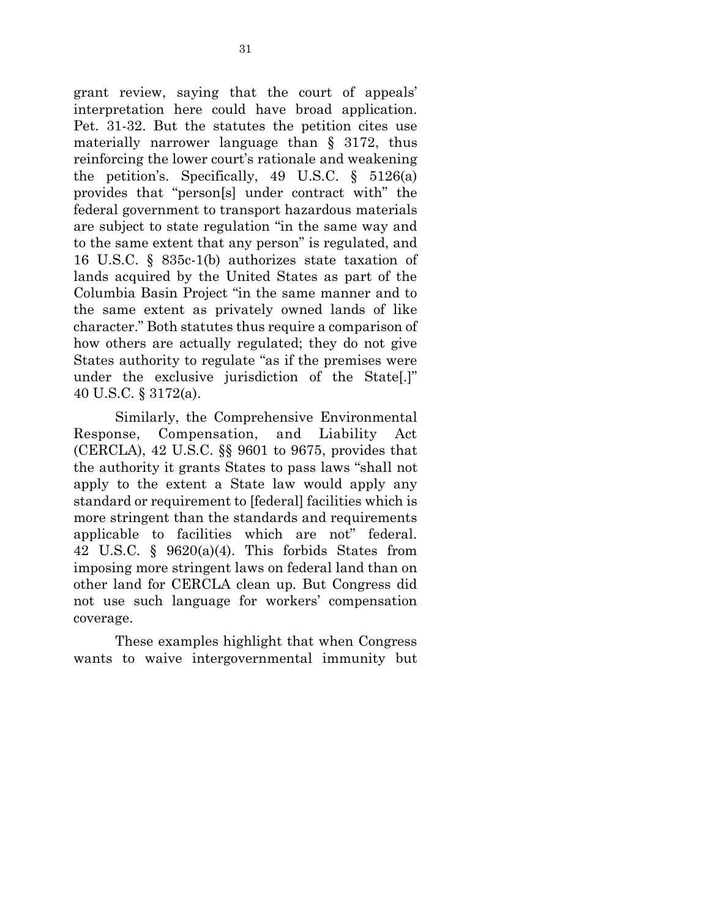grant review, saying that the court of appeals' interpretation here could have broad application. Pet. 31-32. But the statutes the petition cites use materially narrower language than § 3172, thus reinforcing the lower court's rationale and weakening the petition's. Specifically, 49 U.S.C. § 5126(a) provides that "person[s] under contract with" the federal government to transport hazardous materials are subject to state regulation "in the same way and to the same extent that any person" is regulated, and 16 U.S.C. § 835c-1(b) authorizes state taxation of lands acquired by the United States as part of the Columbia Basin Project "in the same manner and to the same extent as privately owned lands of like character." Both statutes thus require a comparison of how others are actually regulated; they do not give States authority to regulate "as if the premises were under the exclusive jurisdiction of the State[.]" 40 U.S.C. § 3172(a).

Similarly, the Comprehensive Environmental Response, Compensation, and Liability Act (CERCLA), 42 U.S.C. §§ 9601 to 9675, provides that the authority it grants States to pass laws "shall not apply to the extent a State law would apply any standard or requirement to [federal] facilities which is more stringent than the standards and requirements applicable to facilities which are not" federal. 42 U.S.C. § 9620(a)(4). This forbids States from imposing more stringent laws on federal land than on other land for CERCLA clean up. But Congress did not use such language for workers' compensation coverage.

These examples highlight that when Congress wants to waive intergovernmental immunity but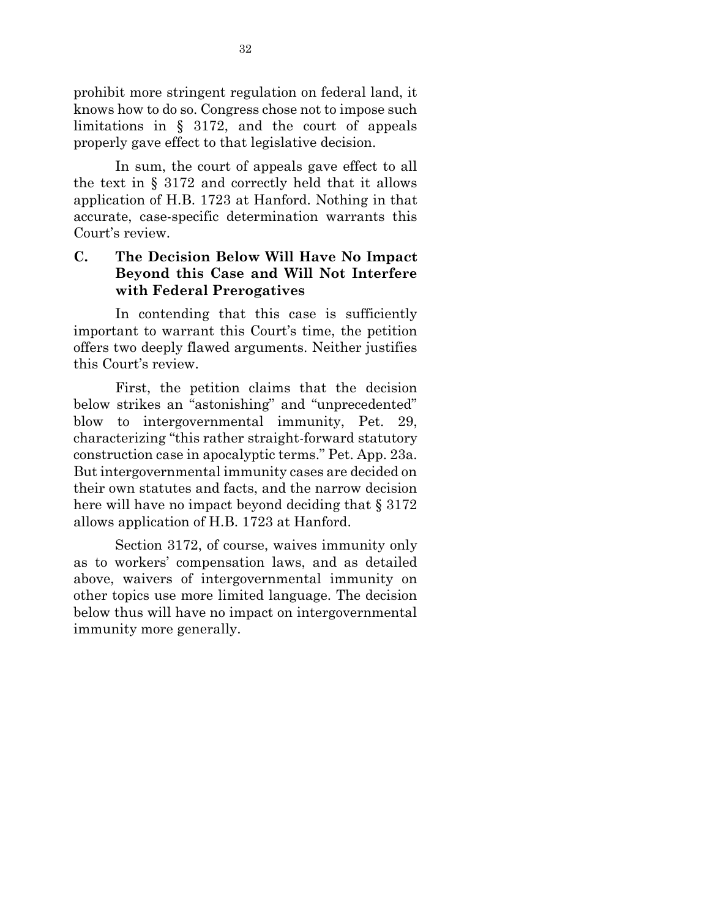prohibit more stringent regulation on federal land, it knows how to do so. Congress chose not to impose such limitations in § 3172, and the court of appeals properly gave effect to that legislative decision.

In sum, the court of appeals gave effect to all the text in § 3172 and correctly held that it allows application of H.B. 1723 at Hanford. Nothing in that accurate, case-specific determination warrants this Court's review.

## **C. The Decision Below Will Have No Impact Beyond this Case and Will Not Interfere with Federal Prerogatives**

In contending that this case is sufficiently important to warrant this Court's time, the petition offers two deeply flawed arguments. Neither justifies this Court's review.

First, the petition claims that the decision below strikes an "astonishing" and "unprecedented" blow to intergovernmental immunity, Pet. 29, characterizing "this rather straight-forward statutory construction case in apocalyptic terms." Pet. App. 23a. But intergovernmental immunity cases are decided on their own statutes and facts, and the narrow decision here will have no impact beyond deciding that § 3172 allows application of H.B. 1723 at Hanford.

Section 3172, of course, waives immunity only as to workers' compensation laws, and as detailed above, waivers of intergovernmental immunity on other topics use more limited language. The decision below thus will have no impact on intergovernmental immunity more generally.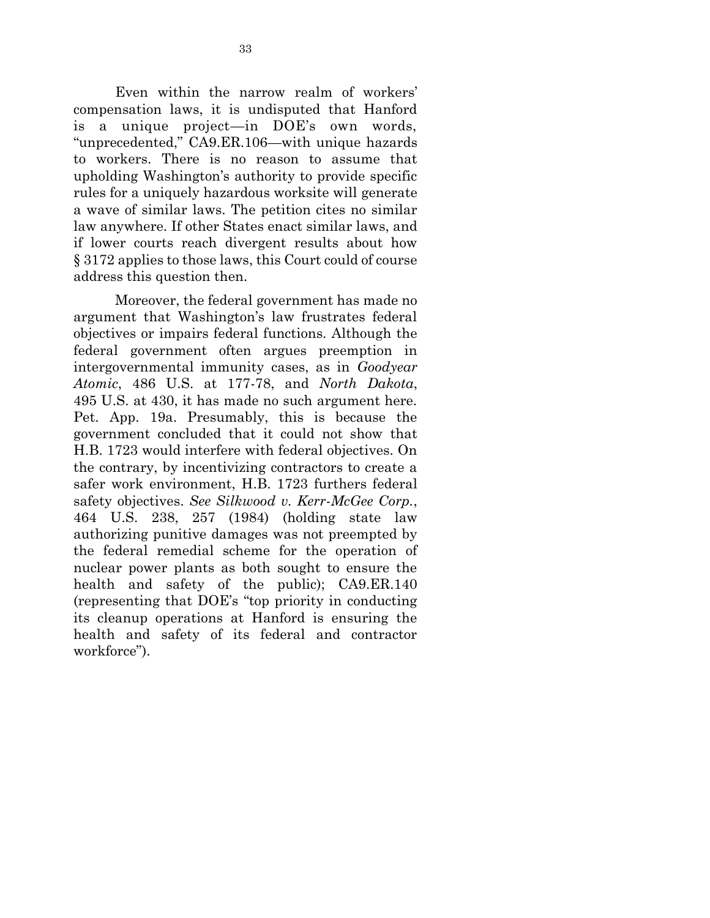Even within the narrow realm of workers' compensation laws, it is undisputed that Hanford is a unique project—in DOE's own words, "unprecedented," CA9.ER.106—with unique hazards to workers. There is no reason to assume that upholding Washington's authority to provide specific rules for a uniquely hazardous worksite will generate a wave of similar laws. The petition cites no similar law anywhere. If other States enact similar laws, and if lower courts reach divergent results about how § 3172 applies to those laws, this Court could of course address this question then.

Moreover, the federal government has made no argument that Washington's law frustrates federal objectives or impairs federal functions. Although the federal government often argues preemption in intergovernmental immunity cases, as in *Goodyear Atomic*, 486 U.S. at 177-78, and *North Dakota*, 495 U.S. at 430, it has made no such argument here. Pet. App. 19a. Presumably, this is because the government concluded that it could not show that H.B. 1723 would interfere with federal objectives. On the contrary, by incentivizing contractors to create a safer work environment, H.B. 1723 furthers federal safety objectives. *See Silkwood v. Kerr-McGee Corp.*, 464 U.S. 238, 257 (1984) (holding state law authorizing punitive damages was not preempted by the federal remedial scheme for the operation of nuclear power plants as both sought to ensure the health and safety of the public); CA9.ER.140 (representing that DOE's "top priority in conducting its cleanup operations at Hanford is ensuring the health and safety of its federal and contractor workforce").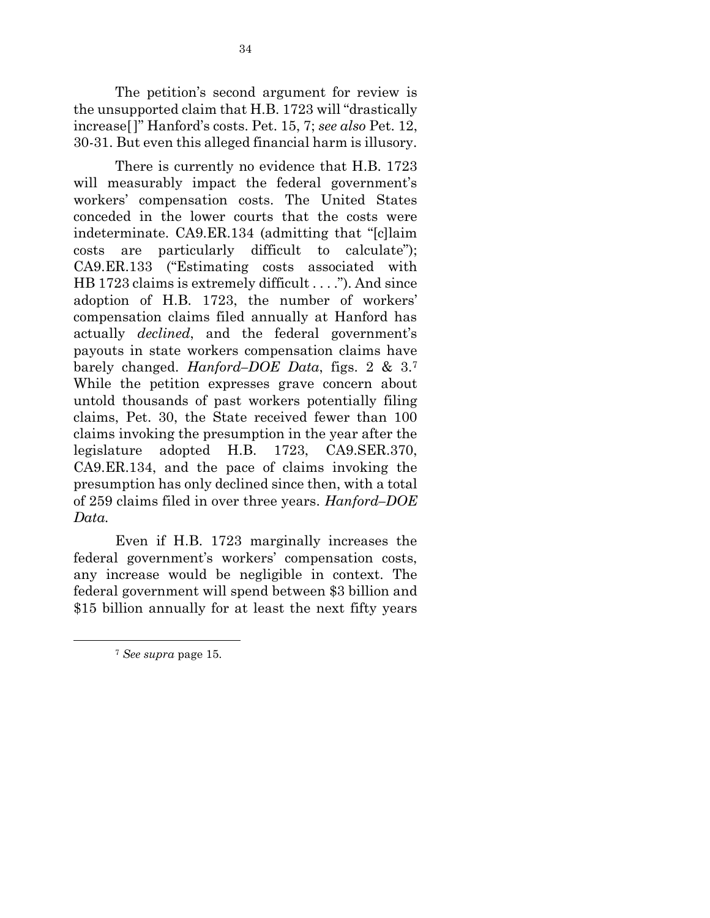The petition's second argument for review is the unsupported claim that H.B. 1723 will "drastically increase[ ]" Hanford's costs. Pet. 15, 7; *see also* Pet. 12, 30-31. But even this alleged financial harm is illusory.

There is currently no evidence that H.B. 1723 will measurably impact the federal government's workers' compensation costs. The United States conceded in the lower courts that the costs were indeterminate. CA9.ER.134 (admitting that "[c]laim costs are particularly difficult to calculate"); CA9.ER.133 ("Estimating costs associated with HB 1723 claims is extremely difficult . . . ."). And since adoption of H.B. 1723, the number of workers' compensation claims filed annually at Hanford has actually *declined*, and the federal government's payouts in state workers compensation claims have barely changed. *Hanford–DOE Data*, figs. 2 & 3.<sup>7</sup> While the petition expresses grave concern about untold thousands of past workers potentially filing claims, Pet. 30, the State received fewer than 100 claims invoking the presumption in the year after the legislature adopted H.B. 1723, CA9.SER.370, CA9.ER.134, and the pace of claims invoking the presumption has only declined since then, with a total of 259 claims filed in over three years. *Hanford–DOE Data.*

Even if H.B. 1723 marginally increases the federal government's workers' compensation costs, any increase would be negligible in context. The federal government will spend between \$3 billion and \$15 billion annually for at least the next fifty years

 $\overline{a}$ 

<sup>7</sup> *See supra* page 15.